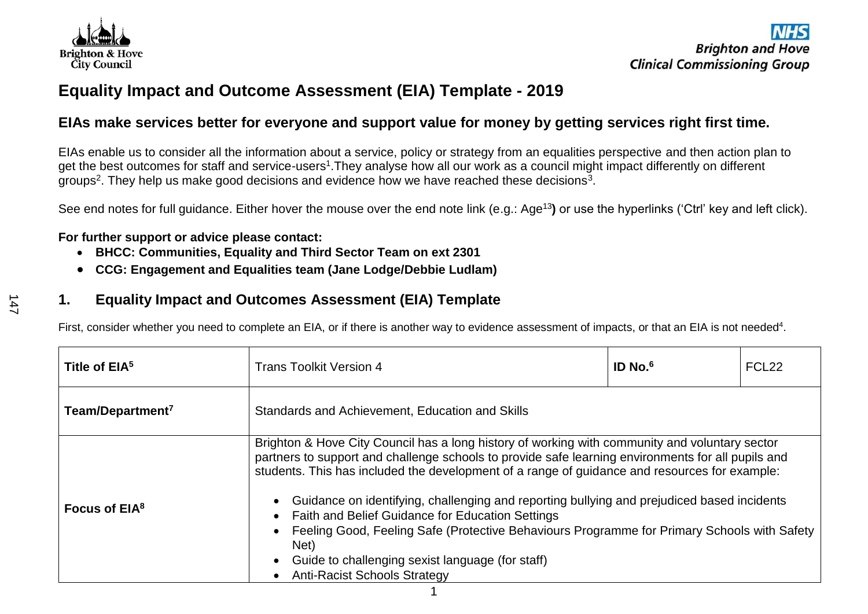

## **Equality Impact and Outcome Assessment (EIA) Template - 2019**

### **EIAs make services better for everyone and support value for money by getting services right first time.**

EIAs enable us to consider all the information about a service, policy or strategy from an equalities perspective and then action plan to get the best outcomes for staff and service-users<sup>1</sup>. They analyse how all our work as a council might impact differently on different groups<sup>2</sup>. They help us make good decisions and evidence how we have reached these decisions<sup>3</sup>.

See end notes for full guidance. Either hover the mouse over the end note link (e.g.: Age<sup>13</sup>) or use the hyperlinks ('Ctrl' key and left click).

#### **For further support or advice please contact:**

- **BHCC: Communities, Equality and Third Sector Team on ext 2301**
- **CCG: Engagement and Equalities team (Jane Lodge/Debbie Ludlam)**

### **1. Equality Impact and Outcomes Assessment (EIA) Template**

First, consider whether you need to complete an EIA, or if there is another way to evidence assessment of impacts, or that an EIA is not needed<sup>4</sup>.

| Title of EIA <sup>5</sup>    | <b>Trans Toolkit Version 4</b>                                                                                                                                                                                                                                                                                                                                                                                                                                                                                                                                                                                                         | $ID$ No. $6$ | FCL <sub>22</sub> |  |  |  |
|------------------------------|----------------------------------------------------------------------------------------------------------------------------------------------------------------------------------------------------------------------------------------------------------------------------------------------------------------------------------------------------------------------------------------------------------------------------------------------------------------------------------------------------------------------------------------------------------------------------------------------------------------------------------------|--------------|-------------------|--|--|--|
| Team/Department <sup>7</sup> | Standards and Achievement, Education and Skills                                                                                                                                                                                                                                                                                                                                                                                                                                                                                                                                                                                        |              |                   |  |  |  |
| Focus of EIA <sup>8</sup>    | Brighton & Hove City Council has a long history of working with community and voluntary sector<br>partners to support and challenge schools to provide safe learning environments for all pupils and<br>students. This has included the development of a range of guidance and resources for example:<br>Guidance on identifying, challenging and reporting bullying and prejudiced based incidents<br><b>Faith and Belief Guidance for Education Settings</b><br>$\bullet$<br>Feeling Good, Feeling Safe (Protective Behaviours Programme for Primary Schools with Safety<br>Net)<br>Guide to challenging sexist language (for staff) |              |                   |  |  |  |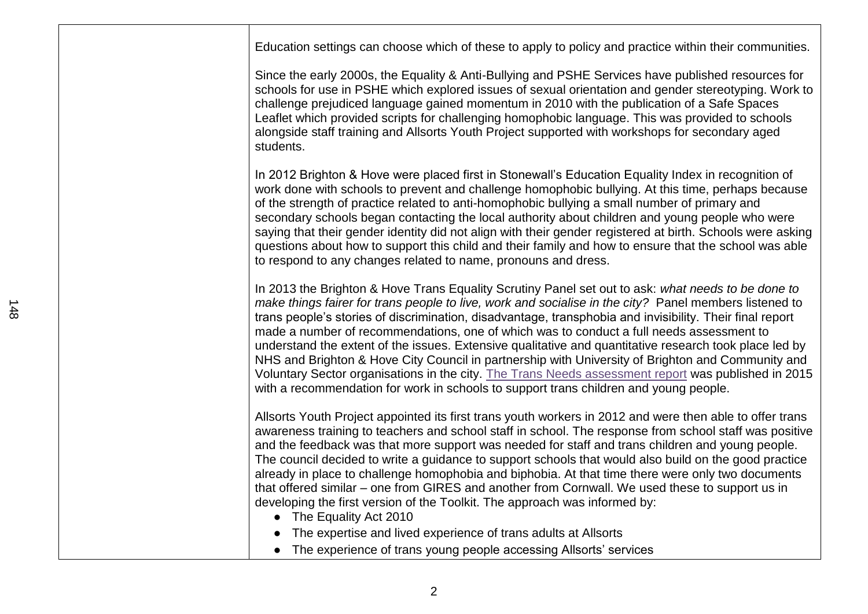| Education settings can choose which of these to apply to policy and practice within their communities.                                                                                                                                                                                                                                                                                                                                                                                                                                                                                                                                                                                                                                                                                                                              |
|-------------------------------------------------------------------------------------------------------------------------------------------------------------------------------------------------------------------------------------------------------------------------------------------------------------------------------------------------------------------------------------------------------------------------------------------------------------------------------------------------------------------------------------------------------------------------------------------------------------------------------------------------------------------------------------------------------------------------------------------------------------------------------------------------------------------------------------|
| Since the early 2000s, the Equality & Anti-Bullying and PSHE Services have published resources for<br>schools for use in PSHE which explored issues of sexual orientation and gender stereotyping. Work to<br>challenge prejudiced language gained momentum in 2010 with the publication of a Safe Spaces<br>Leaflet which provided scripts for challenging homophobic language. This was provided to schools<br>alongside staff training and Allsorts Youth Project supported with workshops for secondary aged<br>students.                                                                                                                                                                                                                                                                                                       |
| In 2012 Brighton & Hove were placed first in Stonewall's Education Equality Index in recognition of<br>work done with schools to prevent and challenge homophobic bullying. At this time, perhaps because<br>of the strength of practice related to anti-homophobic bullying a small number of primary and<br>secondary schools began contacting the local authority about children and young people who were<br>saying that their gender identity did not align with their gender registered at birth. Schools were asking<br>questions about how to support this child and their family and how to ensure that the school was able<br>to respond to any changes related to name, pronouns and dress.                                                                                                                              |
| In 2013 the Brighton & Hove Trans Equality Scrutiny Panel set out to ask: what needs to be done to<br>make things fairer for trans people to live, work and socialise in the city? Panel members listened to<br>trans people's stories of discrimination, disadvantage, transphobia and invisibility. Their final report<br>made a number of recommendations, one of which was to conduct a full needs assessment to<br>understand the extent of the issues. Extensive qualitative and quantitative research took place led by<br>NHS and Brighton & Hove City Council in partnership with University of Brighton and Community and<br>Voluntary Sector organisations in the city. The Trans Needs assessment report was published in 2015<br>with a recommendation for work in schools to support trans children and young people. |
| Allsorts Youth Project appointed its first trans youth workers in 2012 and were then able to offer trans<br>awareness training to teachers and school staff in school. The response from school staff was positive<br>and the feedback was that more support was needed for staff and trans children and young people.<br>The council decided to write a guidance to support schools that would also build on the good practice<br>already in place to challenge homophobia and biphobia. At that time there were only two documents<br>that offered similar – one from GIRES and another from Cornwall. We used these to support us in<br>developing the first version of the Toolkit. The approach was informed by:<br>• The Equality Act 2010                                                                                    |
| The expertise and lived experience of trans adults at Allsorts<br>• The experience of trans young people accessing Allsorts' services                                                                                                                                                                                                                                                                                                                                                                                                                                                                                                                                                                                                                                                                                               |
|                                                                                                                                                                                                                                                                                                                                                                                                                                                                                                                                                                                                                                                                                                                                                                                                                                     |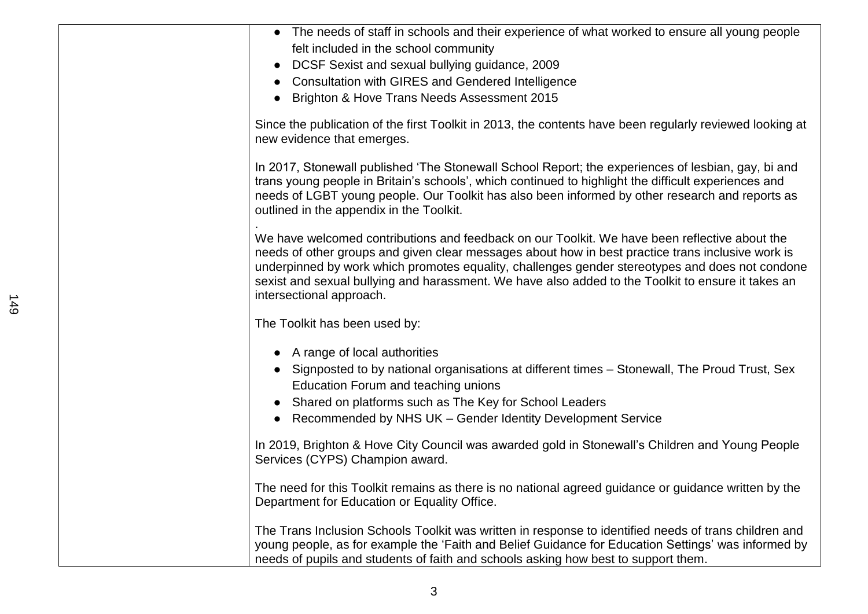| • The needs of staff in schools and their experience of what worked to ensure all young people                                                                                                                                                                                                                                                                                                                                          |
|-----------------------------------------------------------------------------------------------------------------------------------------------------------------------------------------------------------------------------------------------------------------------------------------------------------------------------------------------------------------------------------------------------------------------------------------|
| felt included in the school community                                                                                                                                                                                                                                                                                                                                                                                                   |
| • DCSF Sexist and sexual bullying guidance, 2009                                                                                                                                                                                                                                                                                                                                                                                        |
| <b>Consultation with GIRES and Gendered Intelligence</b>                                                                                                                                                                                                                                                                                                                                                                                |
| Brighton & Hove Trans Needs Assessment 2015                                                                                                                                                                                                                                                                                                                                                                                             |
| Since the publication of the first Toolkit in 2013, the contents have been regularly reviewed looking at<br>new evidence that emerges.                                                                                                                                                                                                                                                                                                  |
| In 2017, Stonewall published 'The Stonewall School Report; the experiences of lesbian, gay, bi and<br>trans young people in Britain's schools', which continued to highlight the difficult experiences and<br>needs of LGBT young people. Our Toolkit has also been informed by other research and reports as<br>outlined in the appendix in the Toolkit.                                                                               |
| We have welcomed contributions and feedback on our Toolkit. We have been reflective about the<br>needs of other groups and given clear messages about how in best practice trans inclusive work is<br>underpinned by work which promotes equality, challenges gender stereotypes and does not condone<br>sexist and sexual bullying and harassment. We have also added to the Toolkit to ensure it takes an<br>intersectional approach. |
| The Toolkit has been used by:                                                                                                                                                                                                                                                                                                                                                                                                           |
| • A range of local authorities<br>Signposted to by national organisations at different times - Stonewall, The Proud Trust, Sex<br>Education Forum and teaching unions<br>• Shared on platforms such as The Key for School Leaders<br>Recommended by NHS UK - Gender Identity Development Service                                                                                                                                        |
| In 2019, Brighton & Hove City Council was awarded gold in Stonewall's Children and Young People<br>Services (CYPS) Champion award.                                                                                                                                                                                                                                                                                                      |
| The need for this Toolkit remains as there is no national agreed guidance or guidance written by the<br>Department for Education or Equality Office.                                                                                                                                                                                                                                                                                    |
| The Trans Inclusion Schools Toolkit was written in response to identified needs of trans children and<br>young people, as for example the 'Faith and Belief Guidance for Education Settings' was informed by<br>needs of pupils and students of faith and schools asking how best to support them.                                                                                                                                      |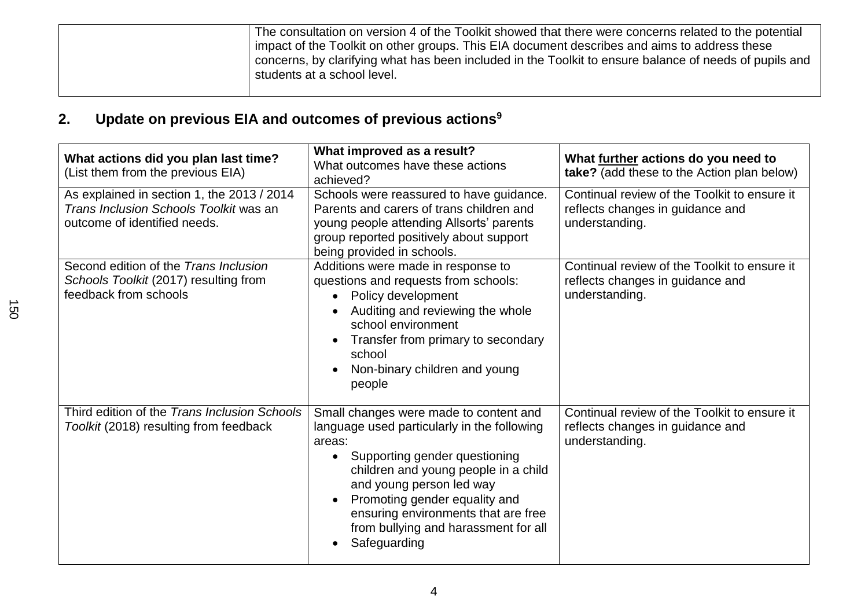| The consultation on version 4 of the Toolkit showed that there were concerns related to the potential<br>impact of the Toolkit on other groups. This EIA document describes and aims to address these<br>concerns, by clarifying what has been included in the Toolkit to ensure balance of needs of pupils and<br>students at a school level. |
|------------------------------------------------------------------------------------------------------------------------------------------------------------------------------------------------------------------------------------------------------------------------------------------------------------------------------------------------|
|                                                                                                                                                                                                                                                                                                                                                |

# **2. Update on previous EIA and outcomes of previous actions<sup>9</sup>**

| What actions did you plan last time?<br>(List them from the previous EIA)                                            | What improved as a result?<br>What outcomes have these actions<br>achieved?                                                                                                                                                                                                                                                          | What further actions do you need to<br>take? (add these to the Action plan below)                  |
|----------------------------------------------------------------------------------------------------------------------|--------------------------------------------------------------------------------------------------------------------------------------------------------------------------------------------------------------------------------------------------------------------------------------------------------------------------------------|----------------------------------------------------------------------------------------------------|
| As explained in section 1, the 2013 / 2014<br>Trans Inclusion Schools Toolkit was an<br>outcome of identified needs. | Schools were reassured to have guidance.<br>Parents and carers of trans children and<br>young people attending Allsorts' parents<br>group reported positively about support<br>being provided in schools.                                                                                                                            | Continual review of the Toolkit to ensure it<br>reflects changes in guidance and<br>understanding. |
| Second edition of the Trans Inclusion<br>Schools Toolkit (2017) resulting from<br>feedback from schools              | Additions were made in response to<br>questions and requests from schools:<br>Policy development<br>Auditing and reviewing the whole<br>school environment<br>Transfer from primary to secondary<br>school<br>Non-binary children and young<br>people                                                                                | Continual review of the Toolkit to ensure it<br>reflects changes in guidance and<br>understanding. |
| Third edition of the Trans Inclusion Schools<br>Toolkit (2018) resulting from feedback                               | Small changes were made to content and<br>language used particularly in the following<br>areas:<br>Supporting gender questioning<br>children and young people in a child<br>and young person led way<br>Promoting gender equality and<br>ensuring environments that are free<br>from bullying and harassment for all<br>Safeguarding | Continual review of the Toolkit to ensure it<br>reflects changes in guidance and<br>understanding. |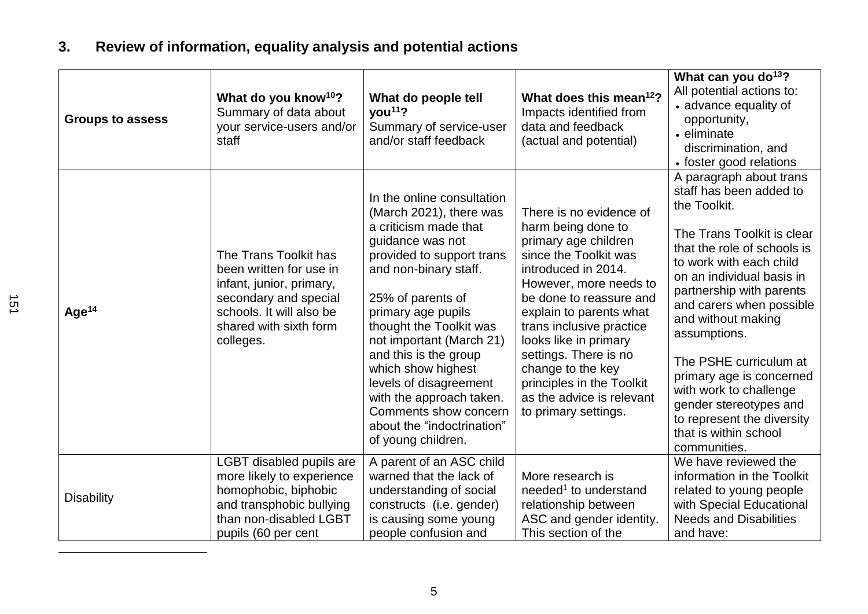# **3. Review of information, equality analysis and potential actions**

| <b>Groups to assess</b> | What do you know <sup>10</sup> ?<br>Summary of data about<br>your service-users and/or<br>staff                                                                          | What do people tell<br>$\gamma$ ou <sup>11</sup> ?<br>Summary of service-user<br>and/or staff feedback                                                                                                                                                                                                                                                                                                                                       | What does this mean <sup>12</sup> ?<br>Impacts identified from<br>data and feedback<br>(actual and potential)                                                                                                                                                                                                                                                                              | What can you do <sup>13</sup> ?<br>All potential actions to:<br>• advance equality of<br>opportunity,<br>• eliminate<br>discrimination, and<br>• foster good relations                                                                                                                                                                                                                                                                                                 |
|-------------------------|--------------------------------------------------------------------------------------------------------------------------------------------------------------------------|----------------------------------------------------------------------------------------------------------------------------------------------------------------------------------------------------------------------------------------------------------------------------------------------------------------------------------------------------------------------------------------------------------------------------------------------|--------------------------------------------------------------------------------------------------------------------------------------------------------------------------------------------------------------------------------------------------------------------------------------------------------------------------------------------------------------------------------------------|------------------------------------------------------------------------------------------------------------------------------------------------------------------------------------------------------------------------------------------------------------------------------------------------------------------------------------------------------------------------------------------------------------------------------------------------------------------------|
| Age <sup>14</sup>       | The Trans Toolkit has<br>been written for use in<br>infant, junior, primary,<br>secondary and special<br>schools. It will also be<br>shared with sixth form<br>colleges. | In the online consultation<br>(March 2021), there was<br>a criticism made that<br>guidance was not<br>provided to support trans<br>and non-binary staff.<br>25% of parents of<br>primary age pupils<br>thought the Toolkit was<br>not important (March 21)<br>and this is the group<br>which show highest<br>levels of disagreement<br>with the approach taken.<br>Comments show concern<br>about the "indoctrination"<br>of young children. | There is no evidence of<br>harm being done to<br>primary age children<br>since the Toolkit was<br>introduced in 2014.<br>However, more needs to<br>be done to reassure and<br>explain to parents what<br>trans inclusive practice<br>looks like in primary<br>settings. There is no<br>change to the key<br>principles in the Toolkit<br>as the advice is relevant<br>to primary settings. | A paragraph about trans<br>staff has been added to<br>the Toolkit.<br>The Trans Toolkit is clear<br>that the role of schools is<br>to work with each child<br>on an individual basis in<br>partnership with parents<br>and carers when possible<br>and without making<br>assumptions.<br>The PSHE curriculum at<br>primary age is concerned<br>with work to challenge<br>gender stereotypes and<br>to represent the diversity<br>that is within school<br>communities. |
| <b>Disability</b>       | LGBT disabled pupils are<br>more likely to experience<br>homophobic, biphobic<br>and transphobic bullying<br>than non-disabled LGBT<br>pupils (60 per cent               | A parent of an ASC child<br>warned that the lack of<br>understanding of social<br>constructs (i.e. gender)<br>is causing some young<br>people confusion and                                                                                                                                                                                                                                                                                  | More research is<br>needed <sup>1</sup> to understand<br>relationship between<br>ASC and gender identity.<br>This section of the                                                                                                                                                                                                                                                           | We have reviewed the<br>information in the Toolkit<br>related to young people<br>with Special Educational<br><b>Needs and Disabilities</b><br>and have:                                                                                                                                                                                                                                                                                                                |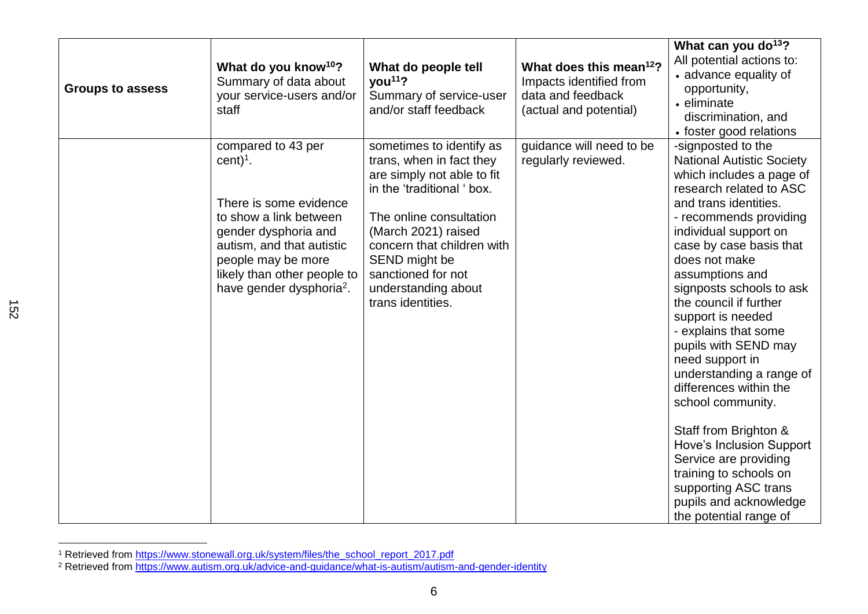| <b>Groups to assess</b> | What do you know <sup>10</sup> ?<br>Summary of data about<br>your service-users and/or<br>staff                                                                                                                                        | What do people tell<br>$\gamma$ ou <sup>11</sup> ?<br>Summary of service-user<br>and/or staff feedback                                                                                                                                                                              | What does this mean <sup>12</sup> ?<br>Impacts identified from<br>data and feedback<br>(actual and potential) | What can you do <sup>13</sup> ?<br>All potential actions to:<br>• advance equality of<br>opportunity,<br>• eliminate<br>discrimination, and<br>• foster good relations                                                                                                                                                                                                                                                                                                                                                                                                                                                                                                |
|-------------------------|----------------------------------------------------------------------------------------------------------------------------------------------------------------------------------------------------------------------------------------|-------------------------------------------------------------------------------------------------------------------------------------------------------------------------------------------------------------------------------------------------------------------------------------|---------------------------------------------------------------------------------------------------------------|-----------------------------------------------------------------------------------------------------------------------------------------------------------------------------------------------------------------------------------------------------------------------------------------------------------------------------------------------------------------------------------------------------------------------------------------------------------------------------------------------------------------------------------------------------------------------------------------------------------------------------------------------------------------------|
|                         | compared to 43 per<br>$cent)1$ .<br>There is some evidence<br>to show a link between<br>gender dysphoria and<br>autism, and that autistic<br>people may be more<br>likely than other people to<br>have gender dysphoria <sup>2</sup> . | sometimes to identify as<br>trans, when in fact they<br>are simply not able to fit<br>in the 'traditional ' box.<br>The online consultation<br>(March 2021) raised<br>concern that children with<br>SEND might be<br>sanctioned for not<br>understanding about<br>trans identities. | guidance will need to be<br>regularly reviewed.                                                               | -signposted to the<br><b>National Autistic Society</b><br>which includes a page of<br>research related to ASC<br>and trans identities.<br>- recommends providing<br>individual support on<br>case by case basis that<br>does not make<br>assumptions and<br>signposts schools to ask<br>the council if further<br>support is needed<br>- explains that some<br>pupils with SEND may<br>need support in<br>understanding a range of<br>differences within the<br>school community.<br>Staff from Brighton &<br>Hove's Inclusion Support<br>Service are providing<br>training to schools on<br>supporting ASC trans<br>pupils and acknowledge<br>the potential range of |

<sup>&</sup>lt;sup>1</sup> Retrieved from [https://www.stonewall.org.uk/system/files/the\\_school\\_report\\_2017.pdf](https://www.stonewall.org.uk/system/files/the_school_report_2017.pdf)

152

<sup>&</sup>lt;sup>2</sup> Retrieved from <u>https://www.autism.org.uk/advice-and-guidance/what-is-autism/autism-and-gender-identity</u>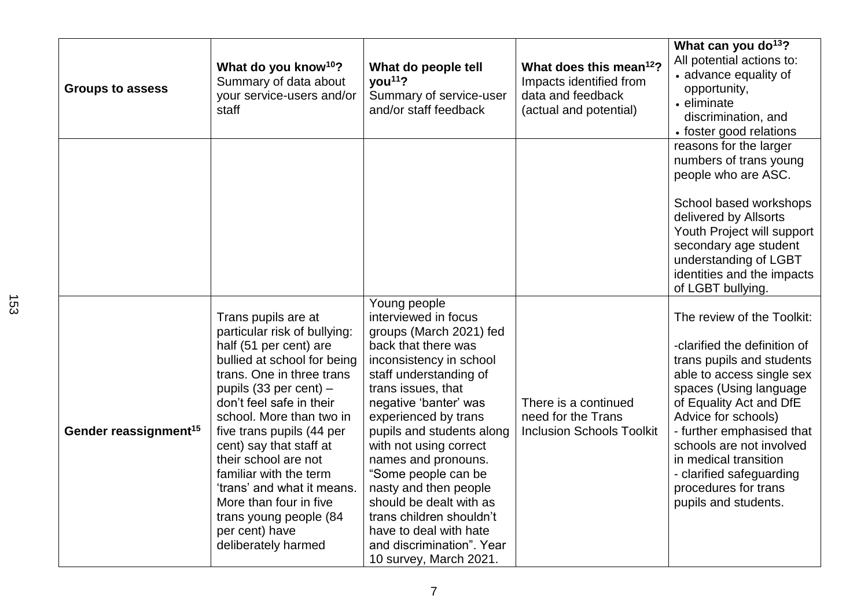| <b>Groups to assess</b>           | What do you know <sup>10</sup> ?<br>Summary of data about<br>your service-users and/or<br>staff                                                                                                                                                                                                                                                                                                                                                                  | What do people tell<br>you <sup>11</sup> ?<br>Summary of service-user<br>and/or staff feedback                                                                                                                                                                                                                                                                                                                                                                                           | What does this mean <sup>12</sup> ?<br>Impacts identified from<br>data and feedback<br>(actual and potential) | What can you do <sup>13</sup> ?<br>All potential actions to:<br>• advance equality of<br>opportunity,<br>• eliminate<br>discrimination, and<br>• foster good relations                                                                                                                                                                                         |
|-----------------------------------|------------------------------------------------------------------------------------------------------------------------------------------------------------------------------------------------------------------------------------------------------------------------------------------------------------------------------------------------------------------------------------------------------------------------------------------------------------------|------------------------------------------------------------------------------------------------------------------------------------------------------------------------------------------------------------------------------------------------------------------------------------------------------------------------------------------------------------------------------------------------------------------------------------------------------------------------------------------|---------------------------------------------------------------------------------------------------------------|----------------------------------------------------------------------------------------------------------------------------------------------------------------------------------------------------------------------------------------------------------------------------------------------------------------------------------------------------------------|
|                                   |                                                                                                                                                                                                                                                                                                                                                                                                                                                                  |                                                                                                                                                                                                                                                                                                                                                                                                                                                                                          |                                                                                                               | reasons for the larger<br>numbers of trans young<br>people who are ASC.<br>School based workshops<br>delivered by Allsorts<br>Youth Project will support<br>secondary age student<br>understanding of LGBT<br>identities and the impacts<br>of LGBT bullying.                                                                                                  |
| Gender reassignment <sup>15</sup> | Trans pupils are at<br>particular risk of bullying:<br>half (51 per cent) are<br>bullied at school for being<br>trans. One in three trans<br>pupils (33 per cent) -<br>don't feel safe in their<br>school. More than two in<br>five trans pupils (44 per<br>cent) say that staff at<br>their school are not<br>familiar with the term<br>'trans' and what it means.<br>More than four in five<br>trans young people (84<br>per cent) have<br>deliberately harmed | Young people<br>interviewed in focus<br>groups (March 2021) fed<br>back that there was<br>inconsistency in school<br>staff understanding of<br>trans issues, that<br>negative 'banter' was<br>experienced by trans<br>pupils and students along<br>with not using correct<br>names and pronouns.<br>"Some people can be<br>nasty and then people<br>should be dealt with as<br>trans children shouldn't<br>have to deal with hate<br>and discrimination". Year<br>10 survey, March 2021. | There is a continued<br>need for the Trans<br><b>Inclusion Schools Toolkit</b>                                | The review of the Toolkit:<br>-clarified the definition of<br>trans pupils and students<br>able to access single sex<br>spaces (Using language<br>of Equality Act and DfE<br>Advice for schools)<br>- further emphasised that<br>schools are not involved<br>in medical transition<br>- clarified safeguarding<br>procedures for trans<br>pupils and students. |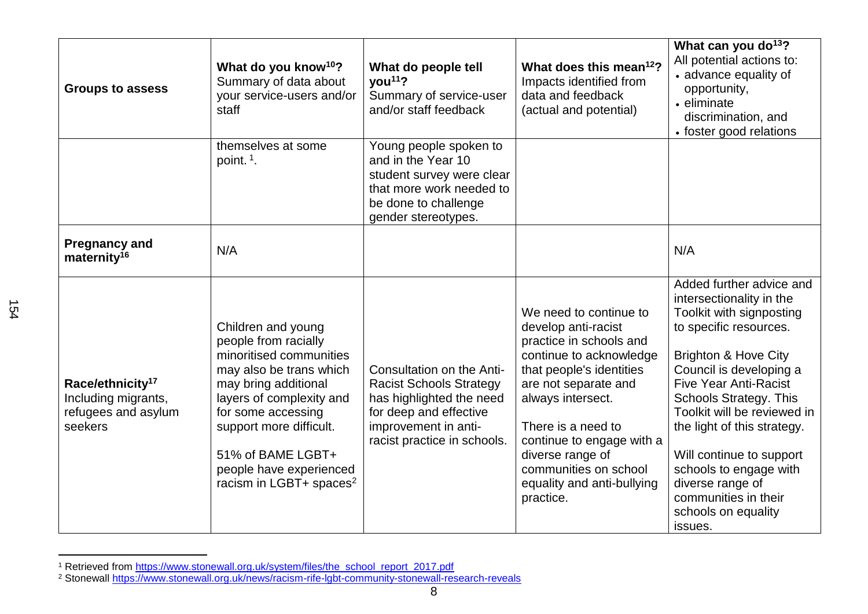| <b>Groups to assess</b>                                                               | What do you know <sup>10</sup> ?<br>Summary of data about<br>your service-users and/or<br>staff                                                                                                                                                                                              | What do people tell<br>vou <sup>11</sup> ?<br>Summary of service-user<br>and/or staff feedback                                                                           | What does this mean <sup>12</sup> ?<br>Impacts identified from<br>data and feedback<br>(actual and potential)                                                                                                                                                                                                           | What can you do <sup>13</sup> ?<br>All potential actions to:<br>• advance equality of<br>opportunity,<br>• eliminate<br>discrimination, and<br>• foster good relations                                                                                                                                                                                                                                                                      |
|---------------------------------------------------------------------------------------|----------------------------------------------------------------------------------------------------------------------------------------------------------------------------------------------------------------------------------------------------------------------------------------------|--------------------------------------------------------------------------------------------------------------------------------------------------------------------------|-------------------------------------------------------------------------------------------------------------------------------------------------------------------------------------------------------------------------------------------------------------------------------------------------------------------------|---------------------------------------------------------------------------------------------------------------------------------------------------------------------------------------------------------------------------------------------------------------------------------------------------------------------------------------------------------------------------------------------------------------------------------------------|
|                                                                                       | themselves at some<br>point. <sup>1</sup> .                                                                                                                                                                                                                                                  | Young people spoken to<br>and in the Year 10<br>student survey were clear<br>that more work needed to<br>be done to challenge<br>gender stereotypes.                     |                                                                                                                                                                                                                                                                                                                         |                                                                                                                                                                                                                                                                                                                                                                                                                                             |
| <b>Pregnancy and</b><br>maternity <sup>16</sup>                                       | N/A                                                                                                                                                                                                                                                                                          |                                                                                                                                                                          |                                                                                                                                                                                                                                                                                                                         | N/A                                                                                                                                                                                                                                                                                                                                                                                                                                         |
| Race/ethnicity <sup>17</sup><br>Including migrants,<br>refugees and asylum<br>seekers | Children and young<br>people from racially<br>minoritised communities<br>may also be trans which<br>may bring additional<br>layers of complexity and<br>for some accessing<br>support more difficult.<br>51% of BAME LGBT+<br>people have experienced<br>racism in LGBT+ spaces <sup>2</sup> | Consultation on the Anti-<br><b>Racist Schools Strategy</b><br>has highlighted the need<br>for deep and effective<br>improvement in anti-<br>racist practice in schools. | We need to continue to<br>develop anti-racist<br>practice in schools and<br>continue to acknowledge<br>that people's identities<br>are not separate and<br>always intersect.<br>There is a need to<br>continue to engage with a<br>diverse range of<br>communities on school<br>equality and anti-bullying<br>practice. | Added further advice and<br>intersectionality in the<br>Toolkit with signposting<br>to specific resources.<br><b>Brighton &amp; Hove City</b><br>Council is developing a<br><b>Five Year Anti-Racist</b><br><b>Schools Strategy. This</b><br>Toolkit will be reviewed in<br>the light of this strategy.<br>Will continue to support<br>schools to engage with<br>diverse range of<br>communities in their<br>schools on equality<br>issues. |

<sup>&</sup>lt;sup>1</sup> Retrieved from [https://www.stonewall.org.uk/system/files/the\\_school\\_report\\_2017.pdf](https://www.stonewall.org.uk/system/files/the_school_report_2017.pdf)

<sup>&</sup>lt;sup>2</sup> Stonewall <u>https://www.stonewall.org.uk/news/racism-rife-lgbt-community-stonewall-research-reveals</u>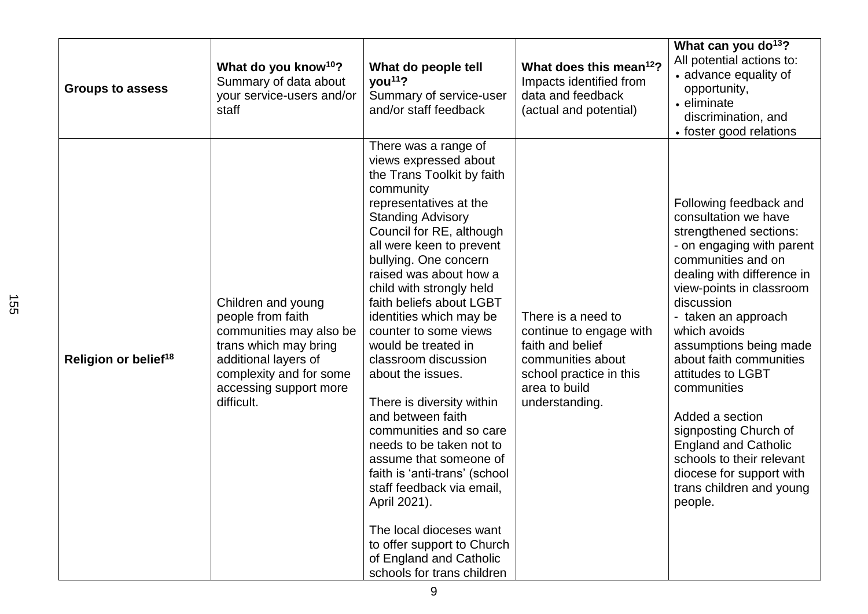| <b>Groups to assess</b>          | What do you know <sup>10</sup> ?<br>Summary of data about<br>your service-users and/or<br>staff                                                                                        | What do people tell<br>you <sup>11</sup> ?<br>Summary of service-user<br>and/or staff feedback                                                                                                                                                                                                                                                                                                                                                                                                                                                                                                                                                                                                                                                                               | What does this mean <sup>12</sup> ?<br>Impacts identified from<br>data and feedback<br>(actual and potential)                                        | What can you do <sup>13</sup> ?<br>All potential actions to:<br>• advance equality of<br>opportunity,<br>• eliminate<br>discrimination, and<br>• foster good relations                                                                                                                                                                                                                                                                                                                                         |
|----------------------------------|----------------------------------------------------------------------------------------------------------------------------------------------------------------------------------------|------------------------------------------------------------------------------------------------------------------------------------------------------------------------------------------------------------------------------------------------------------------------------------------------------------------------------------------------------------------------------------------------------------------------------------------------------------------------------------------------------------------------------------------------------------------------------------------------------------------------------------------------------------------------------------------------------------------------------------------------------------------------------|------------------------------------------------------------------------------------------------------------------------------------------------------|----------------------------------------------------------------------------------------------------------------------------------------------------------------------------------------------------------------------------------------------------------------------------------------------------------------------------------------------------------------------------------------------------------------------------------------------------------------------------------------------------------------|
| Religion or belief <sup>18</sup> | Children and young<br>people from faith<br>communities may also be<br>trans which may bring<br>additional layers of<br>complexity and for some<br>accessing support more<br>difficult. | There was a range of<br>views expressed about<br>the Trans Toolkit by faith<br>community<br>representatives at the<br><b>Standing Advisory</b><br>Council for RE, although<br>all were keen to prevent<br>bullying. One concern<br>raised was about how a<br>child with strongly held<br>faith beliefs about LGBT<br>identities which may be<br>counter to some views<br>would be treated in<br>classroom discussion<br>about the issues.<br>There is diversity within<br>and between faith<br>communities and so care<br>needs to be taken not to<br>assume that someone of<br>faith is 'anti-trans' (school<br>staff feedback via email,<br>April 2021).<br>The local dioceses want<br>to offer support to Church<br>of England and Catholic<br>schools for trans children | There is a need to<br>continue to engage with<br>faith and belief<br>communities about<br>school practice in this<br>area to build<br>understanding. | Following feedback and<br>consultation we have<br>strengthened sections:<br>- on engaging with parent<br>communities and on<br>dealing with difference in<br>view-points in classroom<br>discussion<br>- taken an approach<br>which avoids<br>assumptions being made<br>about faith communities<br>attitudes to LGBT<br>communities<br>Added a section<br>signposting Church of<br><b>England and Catholic</b><br>schools to their relevant<br>diocese for support with<br>trans children and young<br>people. |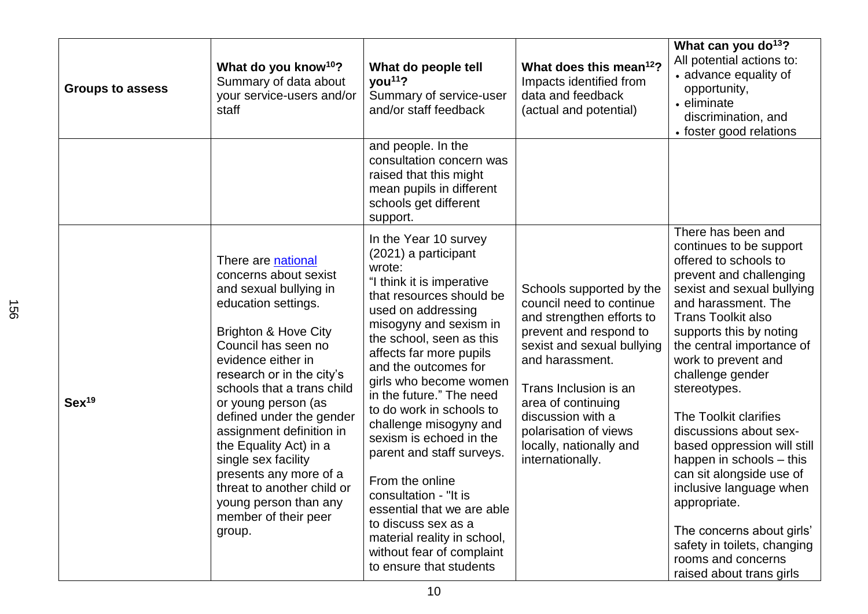| <b>Groups to assess</b> | What do you know <sup>10</sup> ?<br>Summary of data about<br>your service-users and/or<br>staff                                                                                                                                                                                                                                                                                                                                                                                            | What do people tell<br>you <sup>11</sup> ?<br>Summary of service-user<br>and/or staff feedback                                                                                                                                                                                                                                                                                                                                                                                                                                                                                                              | What does this mean <sup>12</sup> ?<br>Impacts identified from<br>data and feedback<br>(actual and potential)                                                                                                                                                                                            | What can you do <sup>13</sup> ?<br>All potential actions to:<br>• advance equality of<br>opportunity,<br>• eliminate<br>discrimination, and<br>• foster good relations                                                                                                                                                                                                                                                                                                                                                                                                                                    |
|-------------------------|--------------------------------------------------------------------------------------------------------------------------------------------------------------------------------------------------------------------------------------------------------------------------------------------------------------------------------------------------------------------------------------------------------------------------------------------------------------------------------------------|-------------------------------------------------------------------------------------------------------------------------------------------------------------------------------------------------------------------------------------------------------------------------------------------------------------------------------------------------------------------------------------------------------------------------------------------------------------------------------------------------------------------------------------------------------------------------------------------------------------|----------------------------------------------------------------------------------------------------------------------------------------------------------------------------------------------------------------------------------------------------------------------------------------------------------|-----------------------------------------------------------------------------------------------------------------------------------------------------------------------------------------------------------------------------------------------------------------------------------------------------------------------------------------------------------------------------------------------------------------------------------------------------------------------------------------------------------------------------------------------------------------------------------------------------------|
|                         |                                                                                                                                                                                                                                                                                                                                                                                                                                                                                            | and people. In the<br>consultation concern was<br>raised that this might<br>mean pupils in different<br>schools get different<br>support.                                                                                                                                                                                                                                                                                                                                                                                                                                                                   |                                                                                                                                                                                                                                                                                                          |                                                                                                                                                                                                                                                                                                                                                                                                                                                                                                                                                                                                           |
| Sex <sup>19</sup>       | There are national<br>concerns about sexist<br>and sexual bullying in<br>education settings.<br><b>Brighton &amp; Hove City</b><br>Council has seen no<br>evidence either in<br>research or in the city's<br>schools that a trans child<br>or young person (as<br>defined under the gender<br>assignment definition in<br>the Equality Act) in a<br>single sex facility<br>presents any more of a<br>threat to another child or<br>young person than any<br>member of their peer<br>group. | In the Year 10 survey<br>(2021) a participant<br>wrote:<br>"I think it is imperative<br>that resources should be<br>used on addressing<br>misogyny and sexism in<br>the school, seen as this<br>affects far more pupils<br>and the outcomes for<br>girls who become women<br>in the future." The need<br>to do work in schools to<br>challenge misogyny and<br>sexism is echoed in the<br>parent and staff surveys.<br>From the online<br>consultation - "It is<br>essential that we are able<br>to discuss sex as a<br>material reality in school,<br>without fear of complaint<br>to ensure that students | Schools supported by the<br>council need to continue<br>and strengthen efforts to<br>prevent and respond to<br>sexist and sexual bullying<br>and harassment.<br>Trans Inclusion is an<br>area of continuing<br>discussion with a<br>polarisation of views<br>locally, nationally and<br>internationally. | There has been and<br>continues to be support<br>offered to schools to<br>prevent and challenging<br>sexist and sexual bullying<br>and harassment. The<br><b>Trans Toolkit also</b><br>supports this by noting<br>the central importance of<br>work to prevent and<br>challenge gender<br>stereotypes.<br>The Toolkit clarifies<br>discussions about sex-<br>based oppression will still<br>happen in schools – this<br>can sit alongside use of<br>inclusive language when<br>appropriate.<br>The concerns about girls'<br>safety in toilets, changing<br>rooms and concerns<br>raised about trans girls |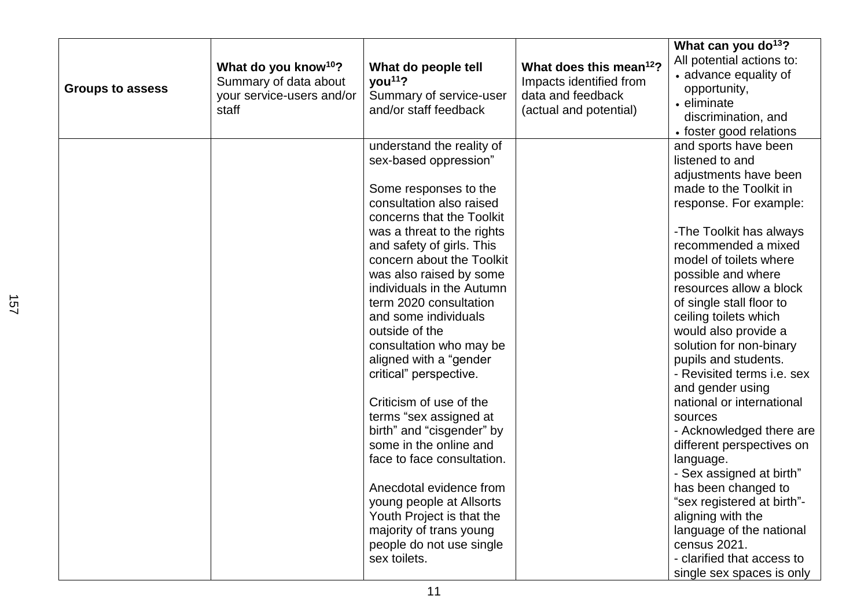|                         |                                  |                            |                                     | What can you do <sup>13</sup> ? |
|-------------------------|----------------------------------|----------------------------|-------------------------------------|---------------------------------|
|                         | What do you know <sup>10</sup> ? | What do people tell        | What does this mean <sup>12</sup> ? | All potential actions to:       |
|                         | Summary of data about            | you <sup>11</sup> ?        | Impacts identified from             | • advance equality of           |
| <b>Groups to assess</b> | your service-users and/or        | Summary of service-user    | data and feedback                   | opportunity,                    |
|                         | staff                            | and/or staff feedback      | (actual and potential)              | • eliminate                     |
|                         |                                  |                            |                                     | discrimination, and             |
|                         |                                  |                            |                                     | • foster good relations         |
|                         |                                  | understand the reality of  |                                     | and sports have been            |
|                         |                                  | sex-based oppression"      |                                     | listened to and                 |
|                         |                                  |                            |                                     | adjustments have been           |
|                         |                                  | Some responses to the      |                                     | made to the Toolkit in          |
|                         |                                  | consultation also raised   |                                     | response. For example:          |
|                         |                                  | concerns that the Toolkit  |                                     |                                 |
|                         |                                  | was a threat to the rights |                                     | -The Toolkit has always         |
|                         |                                  | and safety of girls. This  |                                     | recommended a mixed             |
|                         |                                  | concern about the Toolkit  |                                     | model of toilets where          |
|                         |                                  | was also raised by some    |                                     | possible and where              |
|                         |                                  | individuals in the Autumn  |                                     | resources allow a block         |
|                         |                                  | term 2020 consultation     |                                     | of single stall floor to        |
|                         |                                  | and some individuals       |                                     | ceiling toilets which           |
|                         |                                  | outside of the             |                                     | would also provide a            |
|                         |                                  | consultation who may be    |                                     | solution for non-binary         |
|                         |                                  | aligned with a "gender     |                                     | pupils and students.            |
|                         |                                  | critical" perspective.     |                                     | - Revisited terms i.e. sex      |
|                         |                                  |                            |                                     | and gender using                |
|                         |                                  | Criticism of use of the    |                                     | national or international       |
|                         |                                  | terms "sex assigned at     |                                     | sources                         |
|                         |                                  | birth" and "cisgender" by  |                                     | - Acknowledged there are        |
|                         |                                  | some in the online and     |                                     | different perspectives on       |
|                         |                                  | face to face consultation. |                                     | language.                       |
|                         |                                  |                            |                                     | - Sex assigned at birth"        |
|                         |                                  | Anecdotal evidence from    |                                     | has been changed to             |
|                         |                                  | young people at Allsorts   |                                     | "sex registered at birth"-      |
|                         |                                  | Youth Project is that the  |                                     | aligning with the               |
|                         |                                  | majority of trans young    |                                     | language of the national        |
|                         |                                  | people do not use single   |                                     | census 2021.                    |
|                         |                                  | sex toilets.               |                                     | - clarified that access to      |
|                         |                                  |                            |                                     | single sex spaces is only       |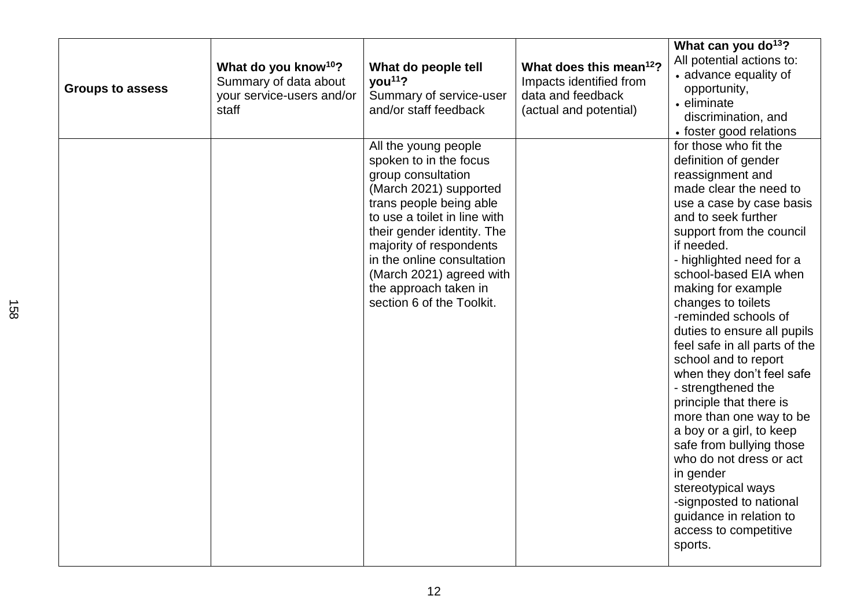| <b>Groups to assess</b> | What do you know <sup>10</sup> ?<br>Summary of data about<br>your service-users and/or<br>staff | What do people tell<br>$\gamma$ ou <sup>11</sup> ?<br>Summary of service-user<br>and/or staff feedback                                                                                                                                                                                                                             | What does this mean <sup>12</sup> ?<br>Impacts identified from<br>data and feedback<br>(actual and potential) | What can you do <sup>13</sup> ?<br>All potential actions to:<br>• advance equality of<br>opportunity,<br>• eliminate<br>discrimination, and<br>• foster good relations                                                                                                                                                                                                                                                                                                                                                                                                                                                                                                                                                             |
|-------------------------|-------------------------------------------------------------------------------------------------|------------------------------------------------------------------------------------------------------------------------------------------------------------------------------------------------------------------------------------------------------------------------------------------------------------------------------------|---------------------------------------------------------------------------------------------------------------|------------------------------------------------------------------------------------------------------------------------------------------------------------------------------------------------------------------------------------------------------------------------------------------------------------------------------------------------------------------------------------------------------------------------------------------------------------------------------------------------------------------------------------------------------------------------------------------------------------------------------------------------------------------------------------------------------------------------------------|
|                         |                                                                                                 | All the young people<br>spoken to in the focus<br>group consultation<br>(March 2021) supported<br>trans people being able<br>to use a toilet in line with<br>their gender identity. The<br>majority of respondents<br>in the online consultation<br>(March 2021) agreed with<br>the approach taken in<br>section 6 of the Toolkit. |                                                                                                               | for those who fit the<br>definition of gender<br>reassignment and<br>made clear the need to<br>use a case by case basis<br>and to seek further<br>support from the council<br>if needed.<br>- highlighted need for a<br>school-based EIA when<br>making for example<br>changes to toilets<br>-reminded schools of<br>duties to ensure all pupils<br>feel safe in all parts of the<br>school and to report<br>when they don't feel safe<br>- strengthened the<br>principle that there is<br>more than one way to be<br>a boy or a girl, to keep<br>safe from bullying those<br>who do not dress or act<br>in gender<br>stereotypical ways<br>-signposted to national<br>guidance in relation to<br>access to competitive<br>sports. |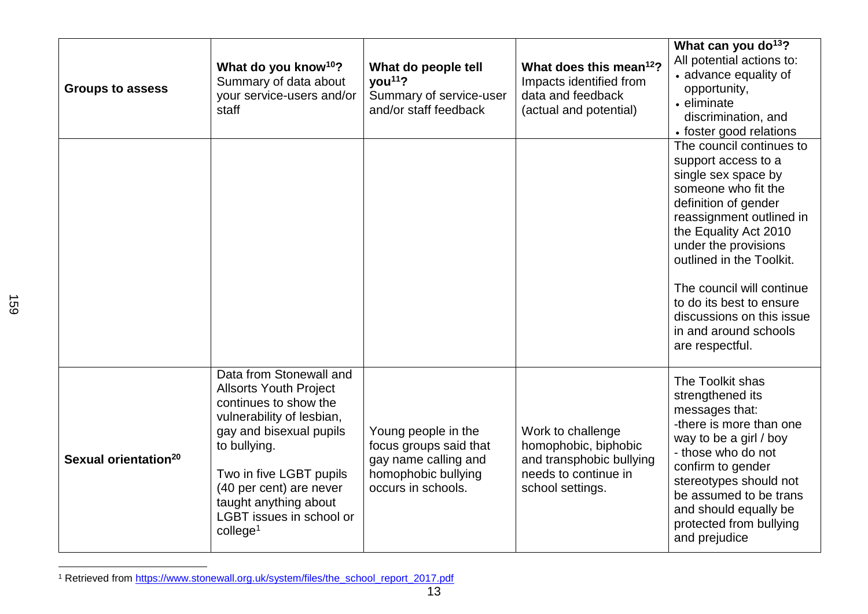| <b>Groups to assess</b>          | What do you know <sup>10</sup> ?<br>Summary of data about<br>your service-users and/or<br>staff                                                                                                                                                                                            | What do people tell<br>you <sup>11</sup> ?<br>Summary of service-user<br>and/or staff feedback                     | What does this mean <sup>12</sup> ?<br>Impacts identified from<br>data and feedback<br>(actual and potential)     | What can you do <sup>13</sup> ?<br>All potential actions to:<br>• advance equality of<br>opportunity,<br>• eliminate<br>discrimination, and<br>• foster good relations                                                                                                                                                                                           |
|----------------------------------|--------------------------------------------------------------------------------------------------------------------------------------------------------------------------------------------------------------------------------------------------------------------------------------------|--------------------------------------------------------------------------------------------------------------------|-------------------------------------------------------------------------------------------------------------------|------------------------------------------------------------------------------------------------------------------------------------------------------------------------------------------------------------------------------------------------------------------------------------------------------------------------------------------------------------------|
|                                  |                                                                                                                                                                                                                                                                                            |                                                                                                                    |                                                                                                                   | The council continues to<br>support access to a<br>single sex space by<br>someone who fit the<br>definition of gender<br>reassignment outlined in<br>the Equality Act 2010<br>under the provisions<br>outlined in the Toolkit.<br>The council will continue<br>to do its best to ensure<br>discussions on this issue<br>in and around schools<br>are respectful. |
| Sexual orientation <sup>20</sup> | Data from Stonewall and<br><b>Allsorts Youth Project</b><br>continues to show the<br>vulnerability of lesbian,<br>gay and bisexual pupils<br>to bullying.<br>Two in five LGBT pupils<br>(40 per cent) are never<br>taught anything about<br>LGBT issues in school or<br>$\text{college}^1$ | Young people in the<br>focus groups said that<br>gay name calling and<br>homophobic bullying<br>occurs in schools. | Work to challenge<br>homophobic, biphobic<br>and transphobic bullying<br>needs to continue in<br>school settings. | The Toolkit shas<br>strengthened its<br>messages that:<br>-there is more than one<br>way to be a girl / boy<br>- those who do not<br>confirm to gender<br>stereotypes should not<br>be assumed to be trans<br>and should equally be<br>protected from bullying<br>and prejudice                                                                                  |

<sup>&</sup>lt;sup>1</sup> Retrieved from [https://www.stonewall.org.uk/system/files/the\\_school\\_report\\_2017.pdf](https://www.stonewall.org.uk/system/files/the_school_report_2017.pdf)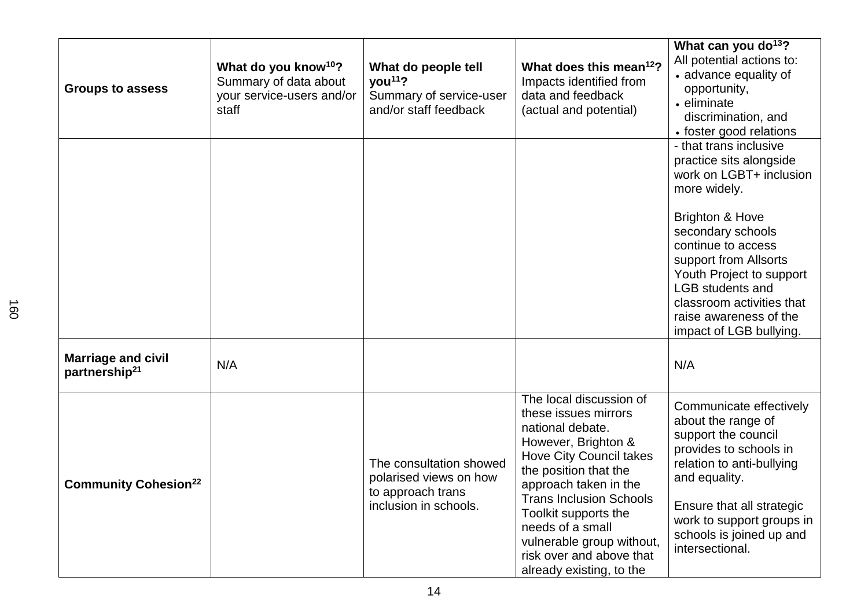| <b>Groups to assess</b>                                | What do you know <sup>10</sup> ?<br>Summary of data about<br>your service-users and/or<br>staff | What do people tell<br>you <sup>11</sup> ?<br>Summary of service-user<br>and/or staff feedback  | What does this mean <sup>12</sup> ?<br>Impacts identified from<br>data and feedback<br>(actual and potential)                                                                                                                                                                                                                                     | What can you do <sup>13</sup> ?<br>All potential actions to:<br>• advance equality of<br>opportunity,<br>• eliminate<br>discrimination, and<br>• foster good relations                                                                                                                                                                  |
|--------------------------------------------------------|-------------------------------------------------------------------------------------------------|-------------------------------------------------------------------------------------------------|---------------------------------------------------------------------------------------------------------------------------------------------------------------------------------------------------------------------------------------------------------------------------------------------------------------------------------------------------|-----------------------------------------------------------------------------------------------------------------------------------------------------------------------------------------------------------------------------------------------------------------------------------------------------------------------------------------|
|                                                        |                                                                                                 |                                                                                                 |                                                                                                                                                                                                                                                                                                                                                   | - that trans inclusive<br>practice sits alongside<br>work on LGBT+ inclusion<br>more widely.<br><b>Brighton &amp; Hove</b><br>secondary schools<br>continue to access<br>support from Allsorts<br>Youth Project to support<br><b>LGB</b> students and<br>classroom activities that<br>raise awareness of the<br>impact of LGB bullying. |
| <b>Marriage and civil</b><br>partnership <sup>21</sup> | N/A                                                                                             |                                                                                                 |                                                                                                                                                                                                                                                                                                                                                   | N/A                                                                                                                                                                                                                                                                                                                                     |
| <b>Community Cohesion<sup>22</sup></b>                 |                                                                                                 | The consultation showed<br>polarised views on how<br>to approach trans<br>inclusion in schools. | The local discussion of<br>these issues mirrors<br>national debate.<br>However, Brighton &<br><b>Hove City Council takes</b><br>the position that the<br>approach taken in the<br><b>Trans Inclusion Schools</b><br>Toolkit supports the<br>needs of a small<br>vulnerable group without,<br>risk over and above that<br>already existing, to the | Communicate effectively<br>about the range of<br>support the council<br>provides to schools in<br>relation to anti-bullying<br>and equality.<br>Ensure that all strategic<br>work to support groups in<br>schools is joined up and<br>intersectional.                                                                                   |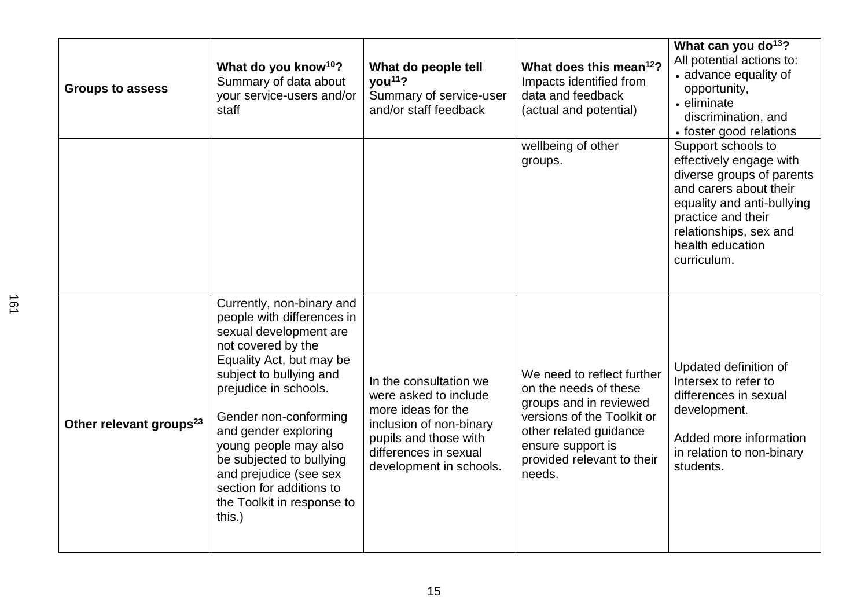| <b>Groups to assess</b>             | What do you know <sup>10</sup> ?<br>Summary of data about<br>your service-users and/or<br>staff                                                                                                                                                                                                                                                                                             | What do people tell<br>you <sup>11</sup> ?<br>Summary of service-user<br>and/or staff feedback                                                                                | What does this mean <sup>12</sup> ?<br>Impacts identified from<br>data and feedback<br>(actual and potential)                                                                                      | What can you do <sup>13</sup> ?<br>All potential actions to:<br>• advance equality of<br>opportunity,<br>• eliminate<br>discrimination, and<br>• foster good relations                                                |
|-------------------------------------|---------------------------------------------------------------------------------------------------------------------------------------------------------------------------------------------------------------------------------------------------------------------------------------------------------------------------------------------------------------------------------------------|-------------------------------------------------------------------------------------------------------------------------------------------------------------------------------|----------------------------------------------------------------------------------------------------------------------------------------------------------------------------------------------------|-----------------------------------------------------------------------------------------------------------------------------------------------------------------------------------------------------------------------|
|                                     |                                                                                                                                                                                                                                                                                                                                                                                             |                                                                                                                                                                               | wellbeing of other<br>groups.                                                                                                                                                                      | Support schools to<br>effectively engage with<br>diverse groups of parents<br>and carers about their<br>equality and anti-bullying<br>practice and their<br>relationships, sex and<br>health education<br>curriculum. |
| Other relevant groups <sup>23</sup> | Currently, non-binary and<br>people with differences in<br>sexual development are<br>not covered by the<br>Equality Act, but may be<br>subject to bullying and<br>prejudice in schools.<br>Gender non-conforming<br>and gender exploring<br>young people may also<br>be subjected to bullying<br>and prejudice (see sex<br>section for additions to<br>the Toolkit in response to<br>this.) | In the consultation we<br>were asked to include<br>more ideas for the<br>inclusion of non-binary<br>pupils and those with<br>differences in sexual<br>development in schools. | We need to reflect further<br>on the needs of these<br>groups and in reviewed<br>versions of the Toolkit or<br>other related guidance<br>ensure support is<br>provided relevant to their<br>needs. | Updated definition of<br>Intersex to refer to<br>differences in sexual<br>development.<br>Added more information<br>in relation to non-binary<br>students.                                                            |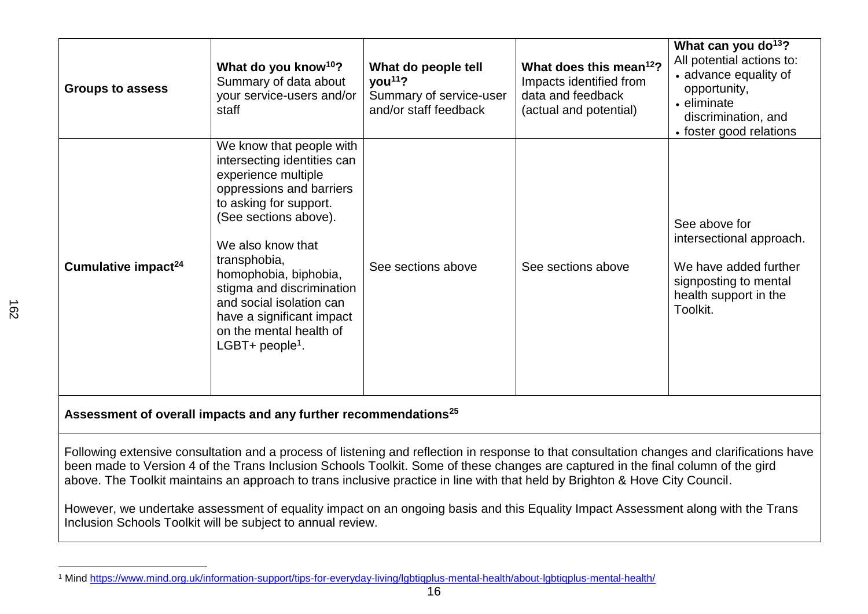| <b>Groups to assess</b>                                                                                                                                                                                                                                                                                                                                                                                          | What do you know <sup>10</sup> ?<br>Summary of data about<br>your service-users and/or<br>staff                                                                                                                                                                                                                                                                             | What do people tell<br>you <sup>11</sup> ?<br>Summary of service-user<br>and/or staff feedback | What does this mean <sup>12</sup> ?<br>Impacts identified from<br>data and feedback<br>(actual and potential) | What can you do <sup>13</sup> ?<br>All potential actions to:<br>• advance equality of<br>opportunity,<br>• eliminate<br>discrimination, and<br>• foster good relations |  |
|------------------------------------------------------------------------------------------------------------------------------------------------------------------------------------------------------------------------------------------------------------------------------------------------------------------------------------------------------------------------------------------------------------------|-----------------------------------------------------------------------------------------------------------------------------------------------------------------------------------------------------------------------------------------------------------------------------------------------------------------------------------------------------------------------------|------------------------------------------------------------------------------------------------|---------------------------------------------------------------------------------------------------------------|------------------------------------------------------------------------------------------------------------------------------------------------------------------------|--|
| Cumulative impact <sup>24</sup>                                                                                                                                                                                                                                                                                                                                                                                  | We know that people with<br>intersecting identities can<br>experience multiple<br>oppressions and barriers<br>to asking for support.<br>(See sections above).<br>We also know that<br>transphobia,<br>homophobia, biphobia,<br>stigma and discrimination<br>and social isolation can<br>have a significant impact<br>on the mental health of<br>LGBT+ people <sup>1</sup> . | See sections above                                                                             | See sections above                                                                                            | See above for<br>intersectional approach.<br>We have added further<br>signposting to mental<br>health support in the<br>Toolkit.                                       |  |
| Assessment of overall impacts and any further recommendations <sup>25</sup>                                                                                                                                                                                                                                                                                                                                      |                                                                                                                                                                                                                                                                                                                                                                             |                                                                                                |                                                                                                               |                                                                                                                                                                        |  |
| Following extensive consultation and a process of listening and reflection in response to that consultation changes and clarifications have<br>been made to Version 4 of the Trans Inclusion Schools Toolkit. Some of these changes are captured in the final column of the gird<br>above. The Toolkit maintains an approach to trans inclusive practice in line with that held by Brighton & Hove City Council. |                                                                                                                                                                                                                                                                                                                                                                             |                                                                                                |                                                                                                               |                                                                                                                                                                        |  |
| However, we undertake assessment of equality impact on an ongoing basis and this Equality Impact Assessment along with the Trans<br>Inclusion Schools Toolkit will be subject to annual review.                                                                                                                                                                                                                  |                                                                                                                                                                                                                                                                                                                                                                             |                                                                                                |                                                                                                               |                                                                                                                                                                        |  |

<sup>1</sup> Mind<https://www.mind.org.uk/information-support/tips-for-everyday-living/lgbtiqplus-mental-health/about-lgbtiqplus-mental-health/>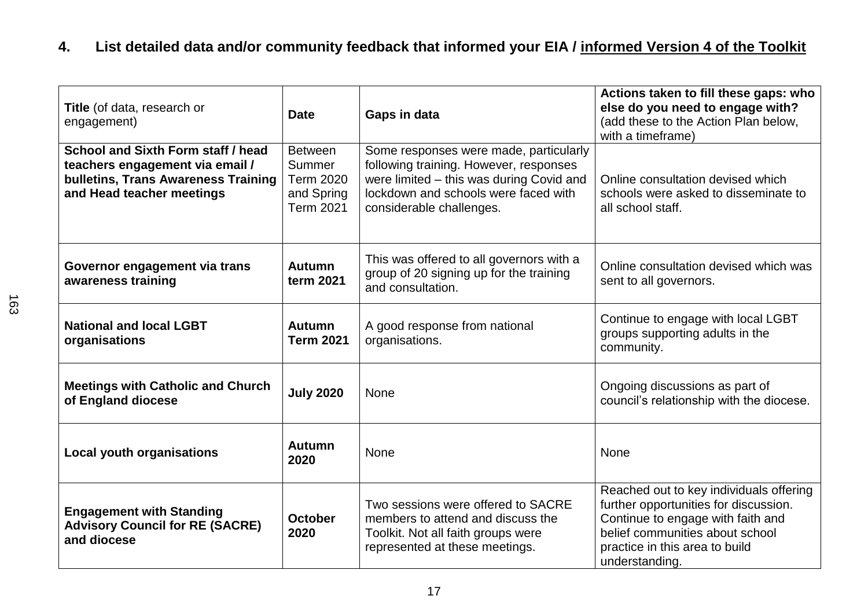# **4. List detailed data and/or community feedback that informed your EIA / informed Version 4 of the Toolkit**

| Title (of data, research or<br>engagement)                                                                                                | <b>Date</b>                                                                    | Gaps in data                                                                                                                                                                                     | Actions taken to fill these gaps: who<br>else do you need to engage with?<br>(add these to the Action Plan below,<br>with a timeframe)                                                                       |
|-------------------------------------------------------------------------------------------------------------------------------------------|--------------------------------------------------------------------------------|--------------------------------------------------------------------------------------------------------------------------------------------------------------------------------------------------|--------------------------------------------------------------------------------------------------------------------------------------------------------------------------------------------------------------|
| School and Sixth Form staff / head<br>teachers engagement via email /<br>bulletins, Trans Awareness Training<br>and Head teacher meetings | <b>Between</b><br>Summer<br><b>Term 2020</b><br>and Spring<br><b>Term 2021</b> | Some responses were made, particularly<br>following training. However, responses<br>were limited - this was during Covid and<br>lockdown and schools were faced with<br>considerable challenges. | Online consultation devised which<br>schools were asked to disseminate to<br>all school staff.                                                                                                               |
| Governor engagement via trans<br>awareness training                                                                                       | <b>Autumn</b><br>term 2021                                                     | This was offered to all governors with a<br>group of 20 signing up for the training<br>and consultation.                                                                                         | Online consultation devised which was<br>sent to all governors.                                                                                                                                              |
| <b>National and local LGBT</b><br>organisations                                                                                           | <b>Autumn</b><br><b>Term 2021</b>                                              | A good response from national<br>organisations.                                                                                                                                                  | Continue to engage with local LGBT<br>groups supporting adults in the<br>community.                                                                                                                          |
| <b>Meetings with Catholic and Church</b><br>of England diocese                                                                            | <b>July 2020</b>                                                               | <b>None</b>                                                                                                                                                                                      | Ongoing discussions as part of<br>council's relationship with the diocese.                                                                                                                                   |
| <b>Local youth organisations</b>                                                                                                          | <b>Autumn</b><br>2020                                                          | <b>None</b>                                                                                                                                                                                      | <b>None</b>                                                                                                                                                                                                  |
| <b>Engagement with Standing</b><br><b>Advisory Council for RE (SACRE)</b><br>and diocese                                                  | <b>October</b><br>2020                                                         | Two sessions were offered to SACRE<br>members to attend and discuss the<br>Toolkit. Not all faith groups were<br>represented at these meetings.                                                  | Reached out to key individuals offering<br>further opportunities for discussion.<br>Continue to engage with faith and<br>belief communities about school<br>practice in this area to build<br>understanding. |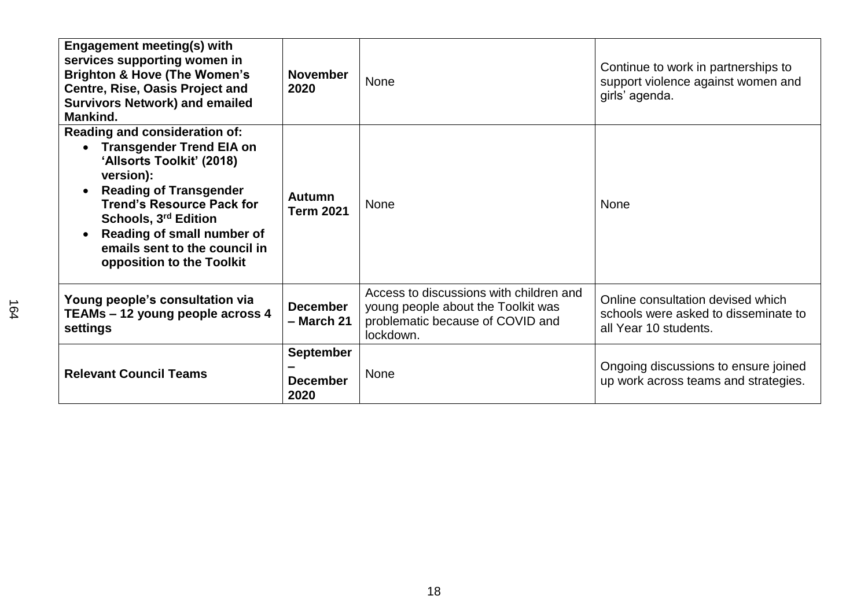| <b>Engagement meeting(s) with</b><br>services supporting women in<br><b>Brighton &amp; Hove (The Women's</b><br><b>Centre, Rise, Oasis Project and</b><br><b>Survivors Network) and emailed</b><br>Mankind.                                                                                                                   | <b>November</b><br>2020                     | None                                                                                                                           | Continue to work in partnerships to<br>support violence against women and<br>girls' agenda.        |
|-------------------------------------------------------------------------------------------------------------------------------------------------------------------------------------------------------------------------------------------------------------------------------------------------------------------------------|---------------------------------------------|--------------------------------------------------------------------------------------------------------------------------------|----------------------------------------------------------------------------------------------------|
| Reading and consideration of:<br><b>Transgender Trend EIA on</b><br>$\bullet$<br>'Allsorts Toolkit' (2018)<br>version):<br><b>Reading of Transgender</b><br>$\bullet$<br><b>Trend's Resource Pack for</b><br>Schools, 3rd Edition<br>Reading of small number of<br>emails sent to the council in<br>opposition to the Toolkit | <b>Autumn</b><br><b>Term 2021</b>           | None                                                                                                                           | None                                                                                               |
| Young people's consultation via<br>TEAMs - 12 young people across 4<br>settings                                                                                                                                                                                                                                               | <b>December</b><br>$-$ March 21             | Access to discussions with children and<br>young people about the Toolkit was<br>problematic because of COVID and<br>lockdown. | Online consultation devised which<br>schools were asked to disseminate to<br>all Year 10 students. |
| <b>Relevant Council Teams</b>                                                                                                                                                                                                                                                                                                 | <b>September</b><br><b>December</b><br>2020 | <b>None</b>                                                                                                                    | Ongoing discussions to ensure joined<br>up work across teams and strategies.                       |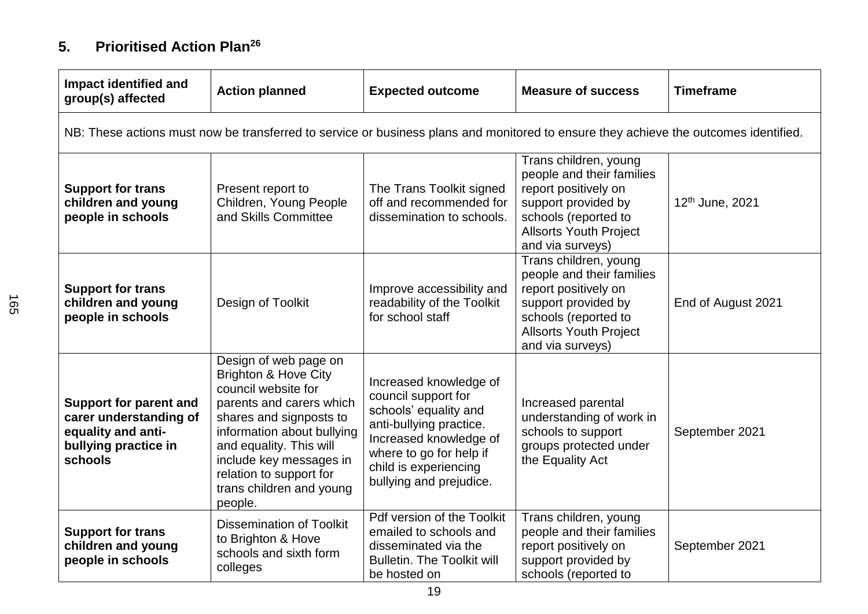## **5. Prioritised Action Plan<sup>26</sup>**

| <b>Impact identified and</b><br>group(s) affected                                                                | <b>Action planned</b>                                                                                                                                                                                                                                                                        | <b>Expected outcome</b>                                                                                                                                                                                    | <b>Measure of success</b>                                                                                                                                                      | <b>Timeframe</b>   |
|------------------------------------------------------------------------------------------------------------------|----------------------------------------------------------------------------------------------------------------------------------------------------------------------------------------------------------------------------------------------------------------------------------------------|------------------------------------------------------------------------------------------------------------------------------------------------------------------------------------------------------------|--------------------------------------------------------------------------------------------------------------------------------------------------------------------------------|--------------------|
|                                                                                                                  | NB: These actions must now be transferred to service or business plans and monitored to ensure they achieve the outcomes identified.                                                                                                                                                         |                                                                                                                                                                                                            |                                                                                                                                                                                |                    |
| <b>Support for trans</b><br>children and young<br>people in schools                                              | Present report to<br>Children, Young People<br>and Skills Committee                                                                                                                                                                                                                          | The Trans Toolkit signed<br>off and recommended for<br>dissemination to schools.                                                                                                                           | Trans children, young<br>people and their families<br>report positively on<br>support provided by<br>schools (reported to<br><b>Allsorts Youth Project</b><br>and via surveys) | 12th June, 2021    |
| <b>Support for trans</b><br>children and young<br>people in schools                                              | Design of Toolkit                                                                                                                                                                                                                                                                            | Improve accessibility and<br>readability of the Toolkit<br>for school staff                                                                                                                                | Trans children, young<br>people and their families<br>report positively on<br>support provided by<br>schools (reported to<br><b>Allsorts Youth Project</b><br>and via surveys) | End of August 2021 |
| <b>Support for parent and</b><br>carer understanding of<br>equality and anti-<br>bullying practice in<br>schools | Design of web page on<br><b>Brighton &amp; Hove City</b><br>council website for<br>parents and carers which<br>shares and signposts to<br>information about bullying<br>and equality. This will<br>include key messages in<br>relation to support for<br>trans children and young<br>people. | Increased knowledge of<br>council support for<br>schools' equality and<br>anti-bullying practice.<br>Increased knowledge of<br>where to go for help if<br>child is experiencing<br>bullying and prejudice. | Increased parental<br>understanding of work in<br>schools to support<br>groups protected under<br>the Equality Act                                                             | September 2021     |
| <b>Support for trans</b><br>children and young<br>people in schools                                              | <b>Dissemination of Toolkit</b><br>to Brighton & Hove<br>schools and sixth form<br>colleges                                                                                                                                                                                                  | Pdf version of the Toolkit<br>emailed to schools and<br>disseminated via the<br><b>Bulletin. The Toolkit will</b><br>be hosted on                                                                          | Trans children, young<br>people and their families<br>report positively on<br>support provided by<br>schools (reported to                                                      | September 2021     |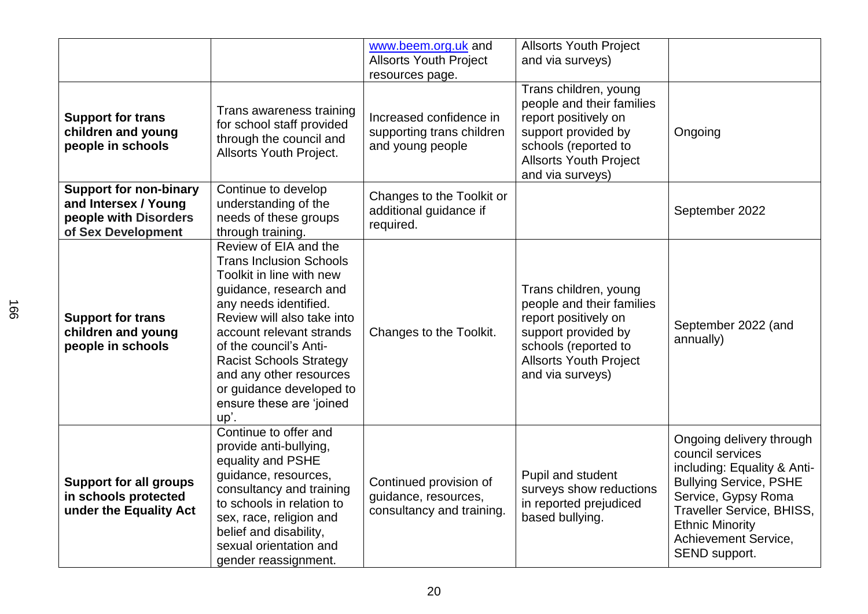|                                                                                                      |                                                                                                                                                                                                                                                                                                                                                         | www.beem.org.uk and<br><b>Allsorts Youth Project</b><br>resources page.     | <b>Allsorts Youth Project</b><br>and via surveys)                                                                                                                              |                                                                                                                                                                                                                                     |
|------------------------------------------------------------------------------------------------------|---------------------------------------------------------------------------------------------------------------------------------------------------------------------------------------------------------------------------------------------------------------------------------------------------------------------------------------------------------|-----------------------------------------------------------------------------|--------------------------------------------------------------------------------------------------------------------------------------------------------------------------------|-------------------------------------------------------------------------------------------------------------------------------------------------------------------------------------------------------------------------------------|
| <b>Support for trans</b><br>children and young<br>people in schools                                  | Trans awareness training<br>for school staff provided<br>through the council and<br><b>Allsorts Youth Project.</b>                                                                                                                                                                                                                                      | Increased confidence in<br>supporting trans children<br>and young people    | Trans children, young<br>people and their families<br>report positively on<br>support provided by<br>schools (reported to<br><b>Allsorts Youth Project</b><br>and via surveys) | Ongoing                                                                                                                                                                                                                             |
| <b>Support for non-binary</b><br>and Intersex / Young<br>people with Disorders<br>of Sex Development | Continue to develop<br>understanding of the<br>needs of these groups<br>through training.                                                                                                                                                                                                                                                               | Changes to the Toolkit or<br>additional guidance if<br>required.            |                                                                                                                                                                                | September 2022                                                                                                                                                                                                                      |
| <b>Support for trans</b><br>children and young<br>people in schools                                  | Review of EIA and the<br><b>Trans Inclusion Schools</b><br>Toolkit in line with new<br>guidance, research and<br>any needs identified.<br>Review will also take into<br>account relevant strands<br>of the council's Anti-<br><b>Racist Schools Strategy</b><br>and any other resources<br>or guidance developed to<br>ensure these are 'joined<br>up'. | Changes to the Toolkit.                                                     | Trans children, young<br>people and their families<br>report positively on<br>support provided by<br>schools (reported to<br><b>Allsorts Youth Project</b><br>and via surveys) | September 2022 (and<br>annually)                                                                                                                                                                                                    |
| <b>Support for all groups</b><br>in schools protected<br>under the Equality Act                      | Continue to offer and<br>provide anti-bullying,<br>equality and PSHE<br>guidance, resources,<br>consultancy and training<br>to schools in relation to<br>sex, race, religion and<br>belief and disability,<br>sexual orientation and<br>gender reassignment.                                                                                            | Continued provision of<br>guidance, resources,<br>consultancy and training. | Pupil and student<br>surveys show reductions<br>in reported prejudiced<br>based bullying.                                                                                      | Ongoing delivery through<br>council services<br>including: Equality & Anti-<br><b>Bullying Service, PSHE</b><br>Service, Gypsy Roma<br>Traveller Service, BHISS,<br><b>Ethnic Minority</b><br>Achievement Service,<br>SEND support. |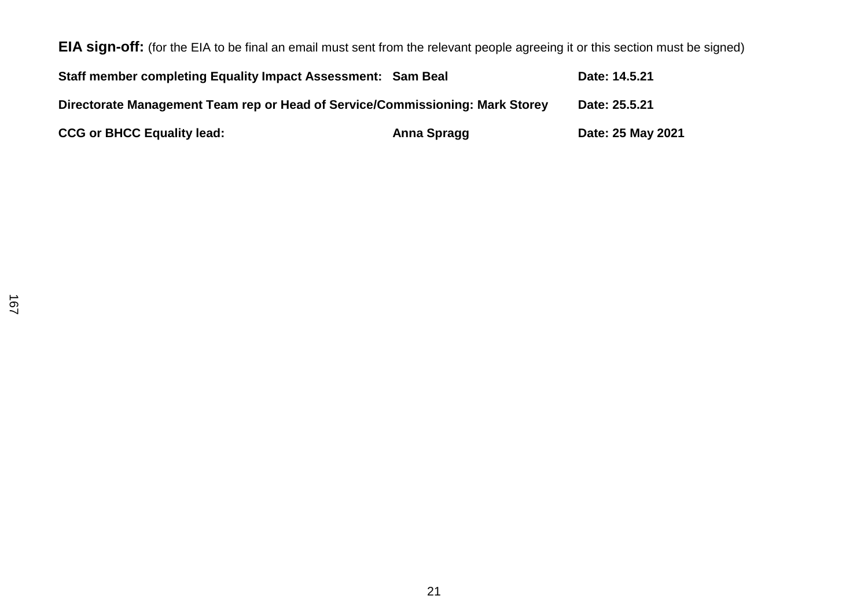**EIA sign-off:** (for the EIA to be final an email must sent from the relevant people agreeing it or this section must be signed) **Staff member completing Equality Impact Assessment: Sam Beal Date: 14.5.21 Directorate Management Team rep or Head of Service/Commissioning: Mark Storey Date: 25.5.21** CCG or BHCC Equality lead: **Anna Spragg by CCG or BHCC Equality lead:** 25 May 2021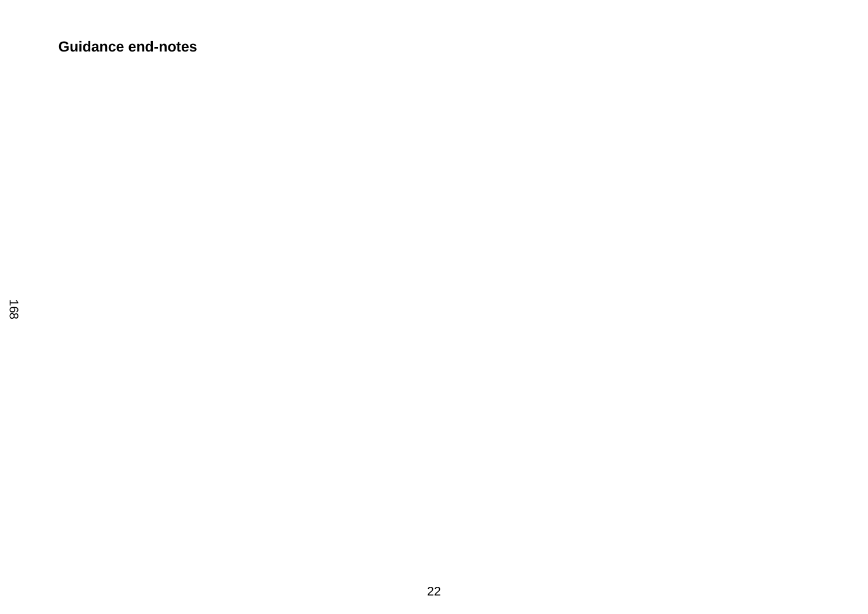**Guidance end-notes**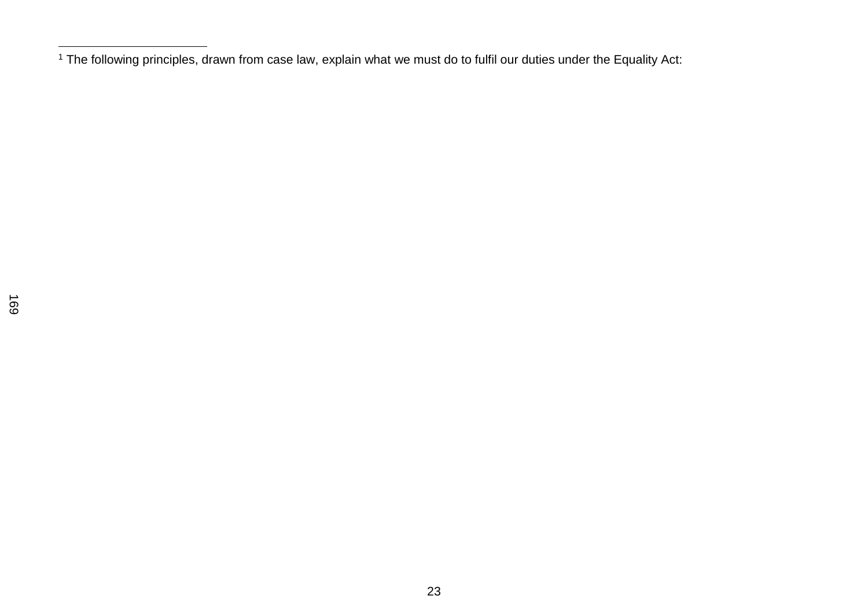The following principles, drawn from case law, explain what we must do to fulfil our duties under the Equality Act: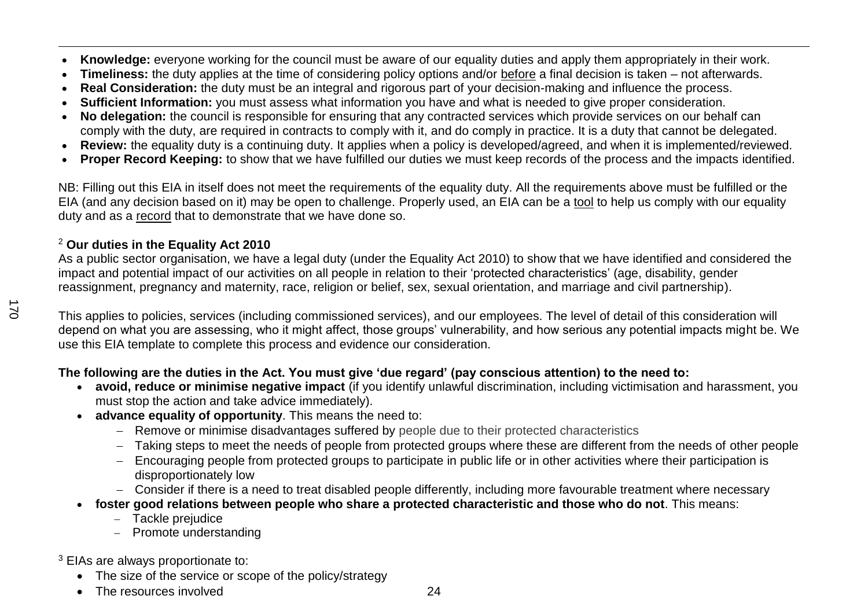- $\overline{a}$ **Knowledge:** everyone working for the council must be aware of our equality duties and apply them appropriately in their work.
- **Timeliness:** the duty applies at the time of considering policy options and/or before a final decision is taken not afterwards.
- **Real Consideration:** the duty must be an integral and rigorous part of your decision-making and influence the process.
- **Sufficient Information:** you must assess what information you have and what is needed to give proper consideration.
- **No delegation:** the council is responsible for ensuring that any contracted services which provide services on our behalf can comply with the duty, are required in contracts to comply with it, and do comply in practice. It is a duty that cannot be delegated.
- **Review:** the equality duty is a continuing duty. It applies when a policy is developed/agreed, and when it is implemented/reviewed.
- **Proper Record Keeping:** to show that we have fulfilled our duties we must keep records of the process and the impacts identified.

NB: Filling out this EIA in itself does not meet the requirements of the equality duty. All the requirements above must be fulfilled or the EIA (and any decision based on it) may be open to challenge. Properly used, an EIA can be a tool to help us comply with our equality duty and as a record that to demonstrate that we have done so.

### <sup>2</sup> **Our duties in the Equality Act 2010**

As a public sector organisation, we have a legal duty (under the Equality Act 2010) to show that we have identified and considered the impact and potential impact of our activities on all people in relation to their 'protected characteristics' (age, disability, gender reassignment, pregnancy and maternity, race, religion or belief, sex, sexual orientation, and marriage and civil partnership).

This applies to policies, services (including commissioned services), and our employees. The level of detail of this consideration will depend on what you are assessing, who it might affect, those groups' vulnerability, and how serious any potential impacts might be. We use this EIA template to complete this process and evidence our consideration.

### **The following are the duties in the Act. You must give 'due regard' (pay conscious attention) to the need to:**

- **avoid, reduce or minimise negative impact** (if you identify unlawful discrimination, including victimisation and harassment, you must stop the action and take advice immediately).
- **advance equality of opportunity**. This means the need to:
	- Remove or minimise disadvantages suffered by people due to their protected characteristics
	- Taking steps to meet the needs of people from protected groups where these are different from the needs of other people
	- Encouraging people from protected groups to participate in public life or in other activities where their participation is disproportionately low
	- Consider if there is a need to treat disabled people differently, including more favourable treatment where necessary
- **foster good relations between people who share a protected characteristic and those who do not**. This means:
	- Tackle prejudice
	- Promote understanding

<sup>3</sup> EIAs are always proportionate to:

- The size of the service or scope of the policy/strategy
- The resources involved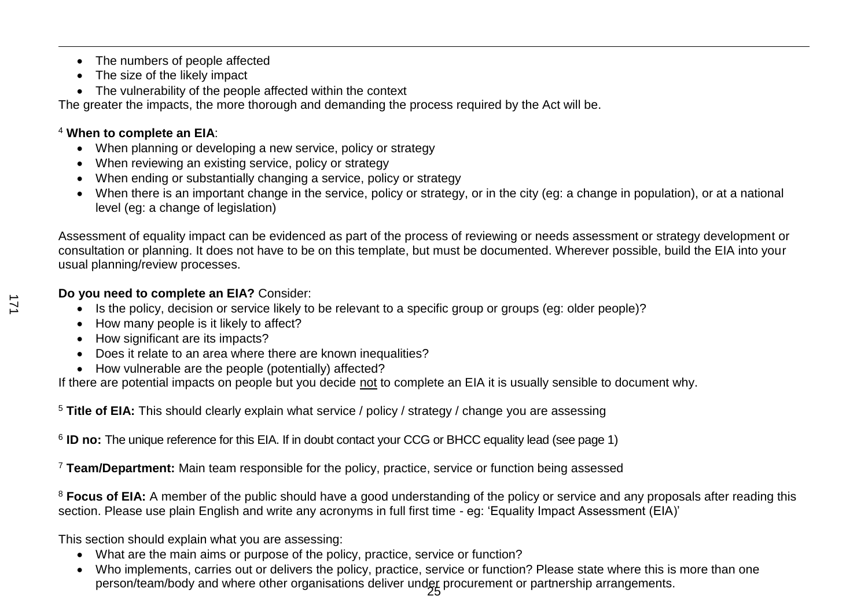- The numbers of people affected
- The size of the likely impact
- The vulnerability of the people affected within the context

The greater the impacts, the more thorough and demanding the process required by the Act will be.

### <sup>4</sup> **When to complete an EIA**:

 $\overline{a}$ 

- When planning or developing a new service, policy or strategy
- When reviewing an existing service, policy or strategy
- When ending or substantially changing a service, policy or strategy
- When there is an important change in the service, policy or strategy, or in the city (eg: a change in population), or at a national level (eg: a change of legislation)

Assessment of equality impact can be evidenced as part of the process of reviewing or needs assessment or strategy development or consultation or planning. It does not have to be on this template, but must be documented. Wherever possible, build the EIA into your usual planning/review processes.

### **Do you need to complete an EIA?** Consider:

- Is the policy, decision or service likely to be relevant to a specific group or groups (eg: older people)?
- How many people is it likely to affect?
- How significant are its impacts?
- Does it relate to an area where there are known inequalities?
- How vulnerable are the people (potentially) affected?

If there are potential impacts on people but you decide not to complete an EIA it is usually sensible to document why.

<sup>5</sup> **Title of EIA:** This should clearly explain what service / policy / strategy / change you are assessing

6 **ID no:** The unique reference for this EIA. If in doubt contact your CCG or BHCC equality lead (see page 1)

<sup>7</sup> **Team/Department:** Main team responsible for the policy, practice, service or function being assessed

<sup>8</sup> Focus of EIA: A member of the public should have a good understanding of the policy or service and any proposals after reading this section. Please use plain English and write any acronyms in full first time - eg: 'Equality Impact Assessment (EIA)'

This section should explain what you are assessing:

- What are the main aims or purpose of the policy, practice, service or function?
- 25 person/team/body and where other organisations deliver under procurement or partnership arrangements. Who implements, carries out or delivers the policy, practice, service or function? Please state where this is more than one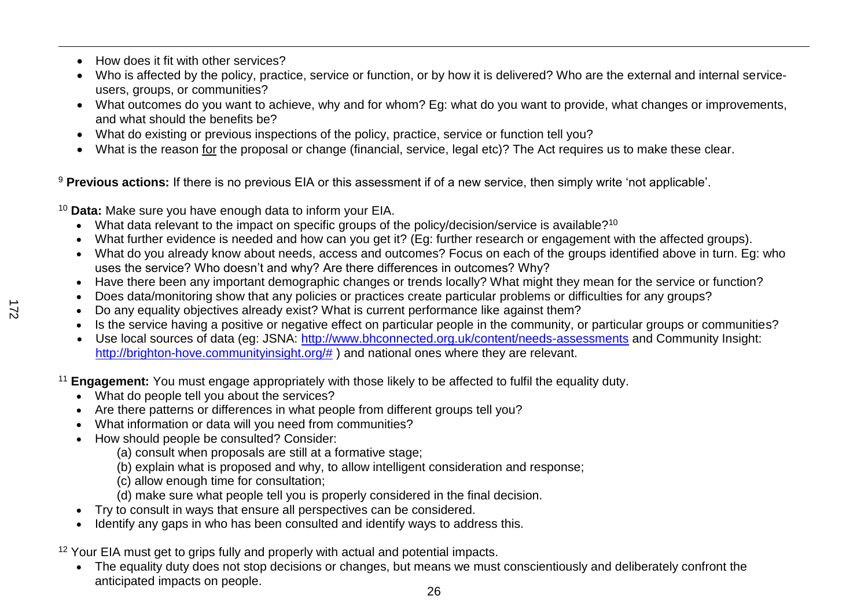- How does it fit with other services?
- Who is affected by the policy, practice, service or function, or by how it is delivered? Who are the external and internal serviceusers, groups, or communities?
- What outcomes do you want to achieve, why and for whom? Eg: what do you want to provide, what changes or improvements, and what should the benefits be?
- What do existing or previous inspections of the policy, practice, service or function tell you?
- What is the reason for the proposal or change (financial, service, legal etc)? The Act requires us to make these clear.

<sup>9</sup> Previous actions: If there is no previous EIA or this assessment if of a new service, then simply write 'not applicable'.

<sup>10</sup> **Data:** Make sure you have enough data to inform your EIA.

- What data relevant to the impact on specific groups of the policy/decision/service is available?<sup>10</sup>
- What further evidence is needed and how can you get it? (Eg: further research or engagement with the affected groups).
- What do you already know about needs, access and outcomes? Focus on each of the groups identified above in turn. Eg: who uses the service? Who doesn't and why? Are there differences in outcomes? Why?
- Have there been any important demographic changes or trends locally? What might they mean for the service or function?
- Does data/monitoring show that any policies or practices create particular problems or difficulties for any groups?
- Do any equality objectives already exist? What is current performance like against them?
- Is the service having a positive or negative effect on particular people in the community, or particular groups or communities?
- Use local sources of data (eg: JSNA:<http://www.bhconnected.org.uk/content/needs-assessments> and Community Insight: [http://brighton-hove.communityinsight.org/#](http://brighton-hove.communityinsight.org/) ) and national ones where they are relevant.

<sup>11</sup> **Engagement:** You must engage appropriately with those likely to be affected to fulfil the equality duty.

- What do people tell you about the services?
- Are there patterns or differences in what people from different groups tell you?
- What information or data will you need from communities?
- How should people be consulted? Consider:
	- (a) consult when proposals are still at a formative stage;
	- (b) explain what is proposed and why, to allow intelligent consideration and response;
	- (c) allow enough time for consultation;
	- (d) make sure what people tell you is properly considered in the final decision.
- Try to consult in ways that ensure all perspectives can be considered.
- Identify any gaps in who has been consulted and identify ways to address this.

<sup>12</sup> Your EIA must get to grips fully and properly with actual and potential impacts.

• The equality duty does not stop decisions or changes, but means we must conscientiously and deliberately confront the anticipated impacts on people.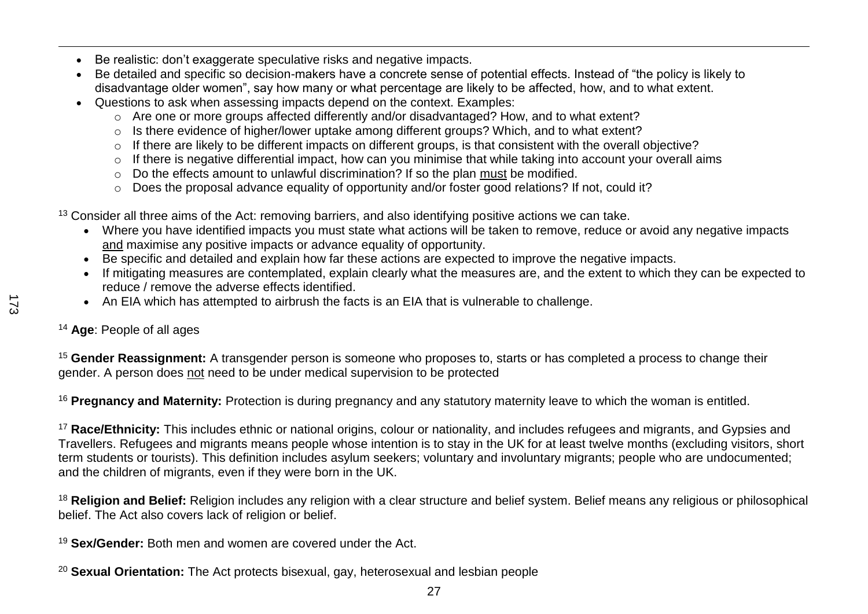- Be realistic: don't exaggerate speculative risks and negative impacts.
- Be detailed and specific so decision-makers have a concrete sense of potential effects. Instead of "the policy is likely to disadvantage older women", say how many or what percentage are likely to be affected, how, and to what extent.
- Questions to ask when assessing impacts depend on the context. Examples:
	- o Are one or more groups affected differently and/or disadvantaged? How, and to what extent?
	- o Is there evidence of higher/lower uptake among different groups? Which, and to what extent?
	- o If there are likely to be different impacts on different groups, is that consistent with the overall objective?
	- o If there is negative differential impact, how can you minimise that while taking into account your overall aims
	- o Do the effects amount to unlawful discrimination? If so the plan must be modified.
	- o Does the proposal advance equality of opportunity and/or foster good relations? If not, could it?

<sup>13</sup> Consider all three aims of the Act: removing barriers, and also identifying positive actions we can take.

- Where you have identified impacts you must state what actions will be taken to remove, reduce or avoid any negative impacts and maximise any positive impacts or advance equality of opportunity.
- Be specific and detailed and explain how far these actions are expected to improve the negative impacts.
- If mitigating measures are contemplated, explain clearly what the measures are, and the extent to which they can be expected to reduce / remove the adverse effects identified.
- An EIA which has attempted to airbrush the facts is an EIA that is vulnerable to challenge.
- <sup>14</sup> **Age**: People of all ages

<sup>15</sup> **Gender Reassignment:** A transgender person is someone who proposes to, starts or has completed a process to change their gender. A person does not need to be under medical supervision to be protected

<sup>16</sup> **Pregnancy and Maternity:** Protection is during pregnancy and any statutory maternity leave to which the woman is entitled.

<sup>17</sup> Race/Ethnicity: This includes ethnic or national origins, colour or nationality, and includes refugees and migrants, and Gypsies and Travellers. Refugees and migrants means people whose intention is to stay in the UK for at least twelve months (excluding visitors, short term students or tourists). This definition includes asylum seekers; voluntary and involuntary migrants; people who are undocumented; and the children of migrants, even if they were born in the UK.

<sup>18</sup> Religion and Belief: Religion includes any religion with a clear structure and belief system. Belief means any religious or philosophical belief. The Act also covers lack of religion or belief.

27

<sup>19</sup> **Sex/Gender:** Both men and women are covered under the Act.

<sup>20</sup> **Sexual Orientation:** The Act protects bisexual, gay, heterosexual and lesbian people